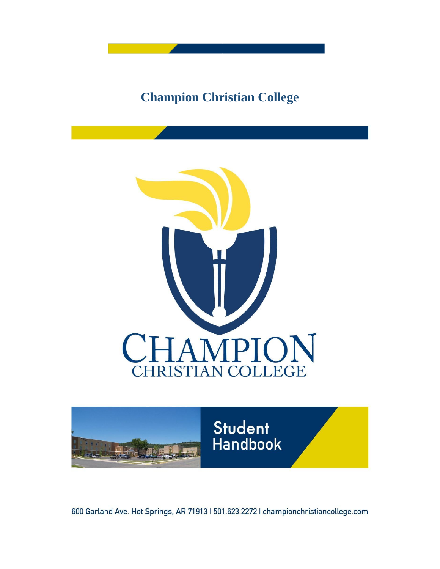

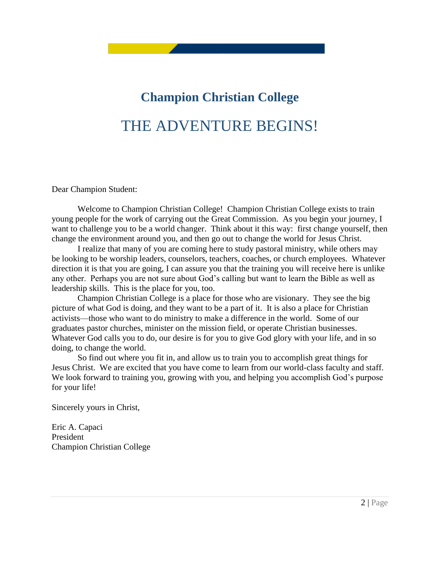# **Champion Christian College** THE ADVENTURE BEGINS!

Dear Champion Student:

Welcome to Champion Christian College! Champion Christian College exists to train young people for the work of carrying out the Great Commission. As you begin your journey, I want to challenge you to be a world changer. Think about it this way: first change yourself, then change the environment around you, and then go out to change the world for Jesus Christ.

I realize that many of you are coming here to study pastoral ministry, while others may be looking to be worship leaders, counselors, teachers, coaches, or church employees. Whatever direction it is that you are going, I can assure you that the training you will receive here is unlike any other. Perhaps you are not sure about God's calling but want to learn the Bible as well as leadership skills. This is the place for you, too.

Champion Christian College is a place for those who are visionary. They see the big picture of what God is doing, and they want to be a part of it. It is also a place for Christian activists—those who want to do ministry to make a difference in the world. Some of our graduates pastor churches, minister on the mission field, or operate Christian businesses. Whatever God calls you to do, our desire is for you to give God glory with your life, and in so doing, to change the world.

So find out where you fit in, and allow us to train you to accomplish great things for Jesus Christ. We are excited that you have come to learn from our world-class faculty and staff. We look forward to training you, growing with you, and helping you accomplish God's purpose for your life!

Sincerely yours in Christ,

Eric A. Capaci President Champion Christian College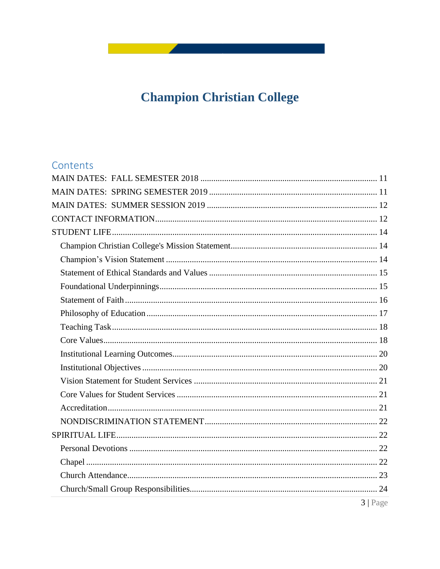<u> 1999 - Jan James Barnett, s</u>

## Contents

| 3 Page |
|--------|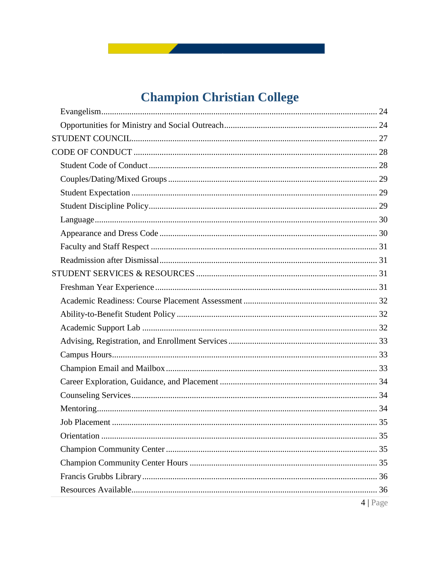<u> 1999 - Jan James Barnett, s</u>

| 4 Page |
|--------|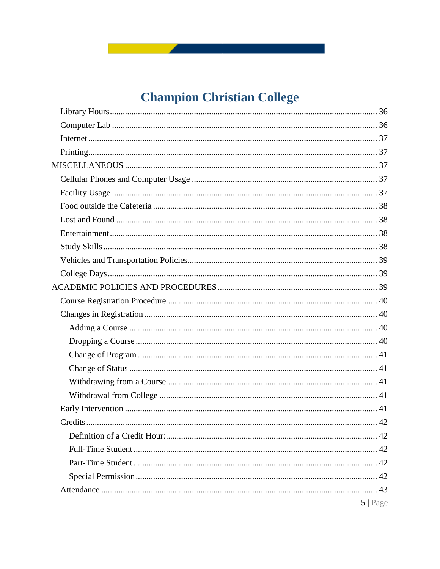<u> 1999 - Jan James Barnett, s</u>

| 5 Page |
|--------|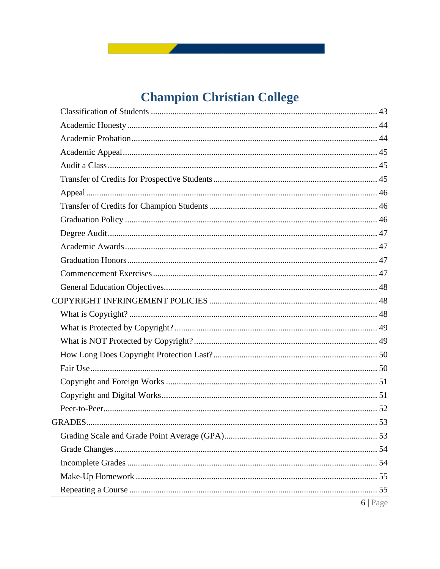**Contract Contract Contract** 

| 6 Page |
|--------|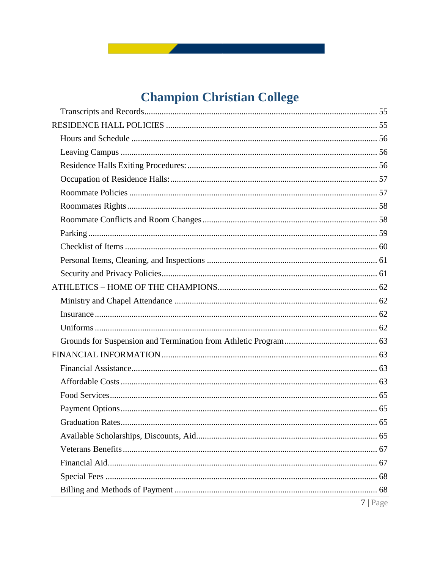<u> 1999 - Jan James Barnett, s</u>

| $7 \mid \text{Page}$ |
|----------------------|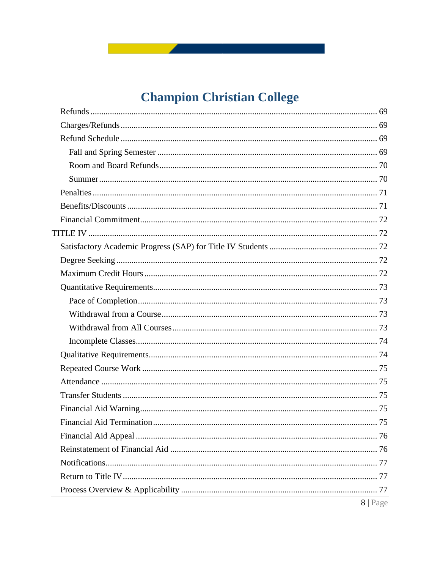<u> Alban Maria Maria Maria Maria Maria Maria Maria Maria Maria Maria Maria Maria Maria Maria Maria Maria Maria </u>

| $8 \mid \text{Page}$ |
|----------------------|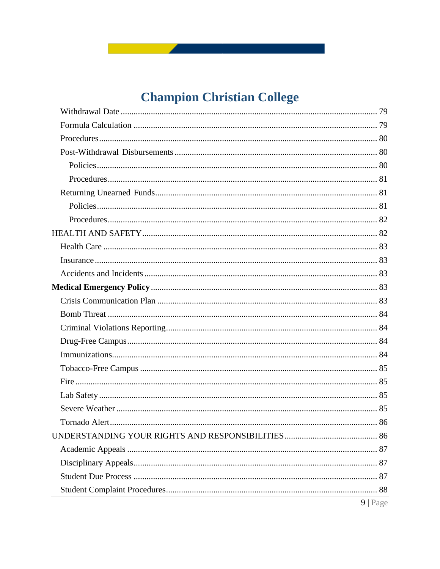<u> 1990 - Jan James Barnett, politik politik (</u>

| 9   Page |
|----------|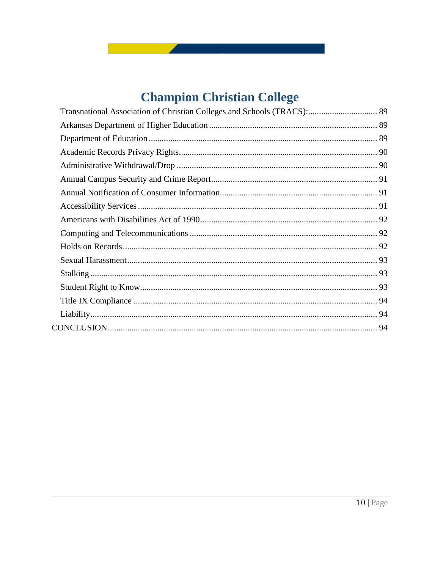<u>and the company of the company of the company of the company of the company of the company of the company of the company of the company of the company of the company of the company of the company of the company of the com</u>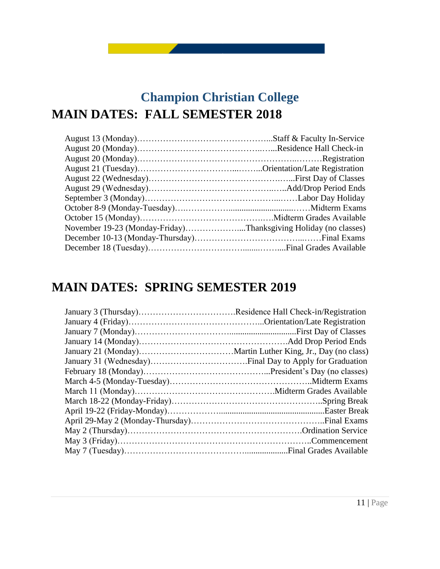# <span id="page-10-0"></span>**Champion Christian College MAIN DATES: FALL SEMESTER 2018**

**Contract Contract Contract Contract** 

| November 19-23 (Monday-Friday)Thanksgiving Holiday (no classes) |  |
|-----------------------------------------------------------------|--|
|                                                                 |  |
|                                                                 |  |

# <span id="page-10-1"></span>**MAIN DATES: SPRING SEMESTER 2019**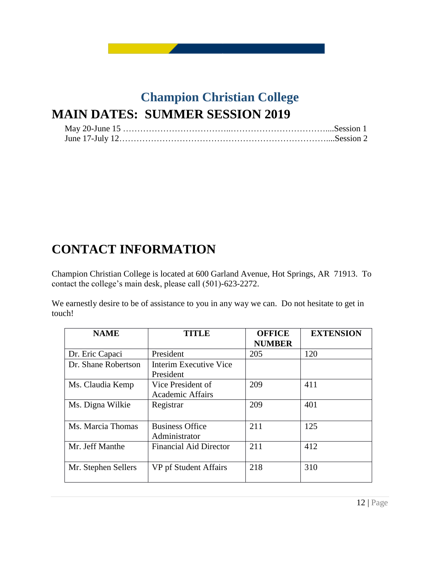# <span id="page-11-0"></span>**Champion Christian College MAIN DATES: SUMMER SESSION 2019**

**Contract Contract Contract Contract** 

# <span id="page-11-1"></span>**CONTACT INFORMATION**

Champion Christian College is located at 600 Garland Avenue, Hot Springs, AR 71913. To contact the college's main desk, please call (501)-623-2272.

We earnestly desire to be of assistance to you in any way we can. Do not hesitate to get in touch!

| <b>NAME</b>         | TITLE                                      | <b>OFFICE</b><br><b>NUMBER</b> | <b>EXTENSION</b> |
|---------------------|--------------------------------------------|--------------------------------|------------------|
| Dr. Eric Capaci     | President                                  | 205                            | 120              |
| Dr. Shane Robertson | <b>Interim Executive Vice</b><br>President |                                |                  |
| Ms. Claudia Kemp    | Vice President of<br>Academic Affairs      | 209                            | 411              |
| Ms. Digna Wilkie    | Registrar                                  | 209                            | 401              |
| Ms. Marcia Thomas   | <b>Business Office</b><br>Administrator    | 211                            | 125              |
| Mr. Jeff Manthe     | <b>Financial Aid Director</b>              | 211                            | 412              |
| Mr. Stephen Sellers | VP pf Student Affairs                      | 218                            | 310              |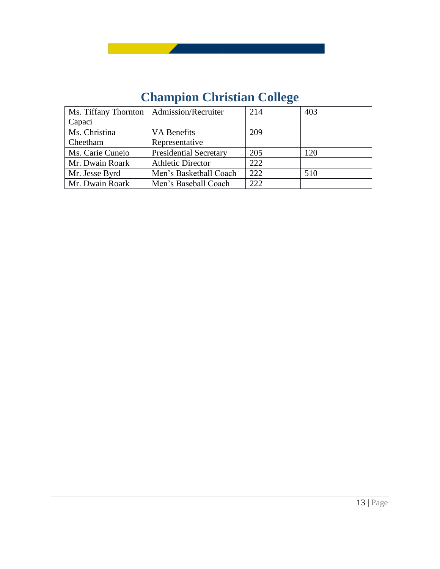

| Ms. Tiffany Thornton   Admission/Recruiter |                               | 214 | 403 |
|--------------------------------------------|-------------------------------|-----|-----|
| Capaci                                     |                               |     |     |
| Ms. Christina                              | VA Benefits                   | 209 |     |
| Cheetham                                   | Representative                |     |     |
| Ms. Carie Cuneio                           | <b>Presidential Secretary</b> | 205 | 120 |
| Mr. Dwain Roark                            | <b>Athletic Director</b>      | 222 |     |
| Mr. Jesse Byrd                             | Men's Basketball Coach        | 222 | 510 |
| Mr. Dwain Roark                            | Men's Baseball Coach          | 222 |     |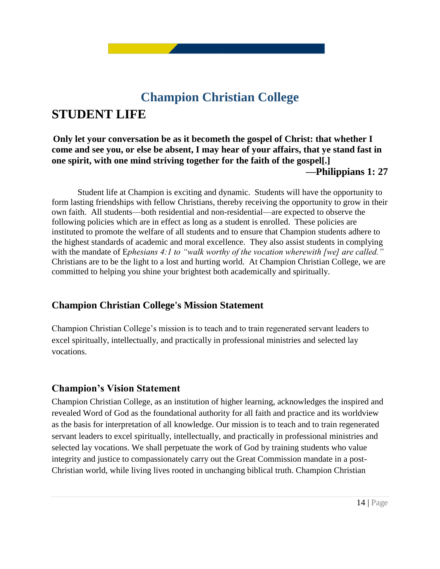# <span id="page-13-0"></span>**Champion Christian College STUDENT LIFE**

### **Only let your conversation be as it becometh the gospel of Christ: that whether I come and see you, or else be absent, I may hear of your affairs, that ye stand fast in one spirit, with one mind striving together for the faith of the gospel[.] —Philippians 1: 27**

 Student life at Champion is exciting and dynamic. Students will have the opportunity to form lasting friendships with fellow Christians, thereby receiving the opportunity to grow in their own faith. All students—both residential and non-residential—are expected to observe the following policies which are in effect as long as a student is enrolled. These policies are instituted to promote the welfare of all students and to ensure that Champion students adhere to the highest standards of academic and moral excellence. They also assist students in complying with the mandate of Ephesians 4:1 to "walk worthy of the vocation wherewith [we] are called." Christians are to be the light to a lost and hurting world. At Champion Christian College, we are committed to helping you shine your brightest both academically and spiritually.

### <span id="page-13-1"></span>**Champion Christian College's Mission Statement**

Champion Christian College's mission is to teach and to train regenerated servant leaders to excel spiritually, intellectually, and practically in professional ministries and selected lay vocations.

### <span id="page-13-2"></span>**Champion's Vision Statement**

Champion Christian College, as an institution of higher learning, acknowledges the inspired and revealed Word of God as the foundational authority for all faith and practice and its worldview as the basis for interpretation of all knowledge. Our mission is to teach and to train regenerated servant leaders to excel spiritually, intellectually, and practically in professional ministries and selected lay vocations. We shall perpetuate the work of God by training students who value integrity and justice to compassionately carry out the Great Commission mandate in a post-Christian world, while living lives rooted in unchanging biblical truth. Champion Christian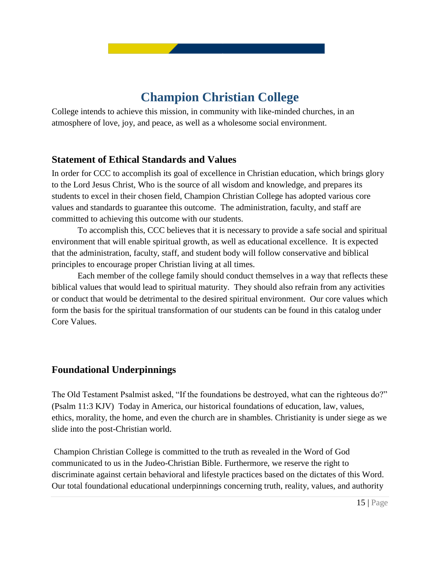College intends to achieve this mission, in community with like-minded churches, in an atmosphere of love, joy, and peace, as well as a wholesome social environment.

### <span id="page-14-0"></span>**Statement of Ethical Standards and Values**

In order for CCC to accomplish its goal of excellence in Christian education, which brings glory to the Lord Jesus Christ, Who is the source of all wisdom and knowledge, and prepares its students to excel in their chosen field, Champion Christian College has adopted various core values and standards to guarantee this outcome. The administration, faculty, and staff are committed to achieving this outcome with our students.

To accomplish this, CCC believes that it is necessary to provide a safe social and spiritual environment that will enable spiritual growth, as well as educational excellence. It is expected that the administration, faculty, staff, and student body will follow conservative and biblical principles to encourage proper Christian living at all times.

Each member of the college family should conduct themselves in a way that reflects these biblical values that would lead to spiritual maturity. They should also refrain from any activities or conduct that would be detrimental to the desired spiritual environment. Our core values which form the basis for the spiritual transformation of our students can be found in this catalog under Core Values.

### <span id="page-14-1"></span>**Foundational Underpinnings**

The Old Testament Psalmist asked, "If the foundations be destroyed, what can the righteous do?" (Psalm 11:3 KJV) Today in America, our historical foundations of education, law, values, ethics, morality, the home, and even the church are in shambles. Christianity is under siege as we slide into the post-Christian world.

Champion Christian College is committed to the truth as revealed in the Word of God communicated to us in the Judeo-Christian Bible. Furthermore, we reserve the right to discriminate against certain behavioral and lifestyle practices based on the dictates of this Word. Our total foundational educational underpinnings concerning truth, reality, values, and authority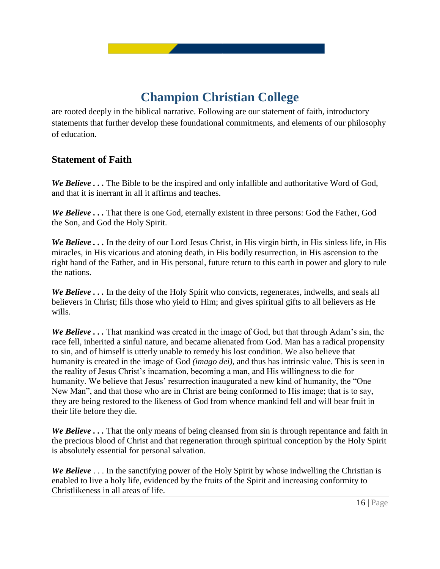are rooted deeply in the biblical narrative. Following are our statement of faith, introductory statements that further develop these foundational commitments, and elements of our philosophy of education.

### <span id="page-15-0"></span>**Statement of Faith**

*We Believe* . . . The Bible to be the inspired and only infallible and authoritative Word of God, and that it is inerrant in all it affirms and teaches.

*We Believe . . .* That there is one God, eternally existent in three persons: God the Father, God the Son, and God the Holy Spirit.

*We Believe . . .* In the deity of our Lord Jesus Christ, in His virgin birth, in His sinless life, in His miracles, in His vicarious and atoning death, in His bodily resurrection, in His ascension to the right hand of the Father, and in His personal, future return to this earth in power and glory to rule the nations.

*We Believe . . .* In the deity of the Holy Spirit who convicts, regenerates, indwells, and seals all believers in Christ; fills those who yield to Him; and gives spiritual gifts to all believers as He wills.

*We Believe . . .* That mankind was created in the image of God, but that through Adam's sin, the race fell, inherited a sinful nature, and became alienated from God. Man has a radical propensity to sin, and of himself is utterly unable to remedy his lost condition. We also believe that humanity is created in the image of God *(imago dei)*, and thus has intrinsic value. This is seen in the reality of Jesus Christ's incarnation, becoming a man, and His willingness to die for humanity. We believe that Jesus' resurrection inaugurated a new kind of humanity, the "One New Man", and that those who are in Christ are being conformed to His image; that is to say, they are being restored to the likeness of God from whence mankind fell and will bear fruit in their life before they die.

*We Believe* . . . That the only means of being cleansed from sin is through repentance and faith in the precious blood of Christ and that regeneration through spiritual conception by the Holy Spirit is absolutely essential for personal salvation.

*We Believe* . . . In the sanctifying power of the Holy Spirit by whose indwelling the Christian is enabled to live a holy life, evidenced by the fruits of the Spirit and increasing conformity to Christlikeness in all areas of life.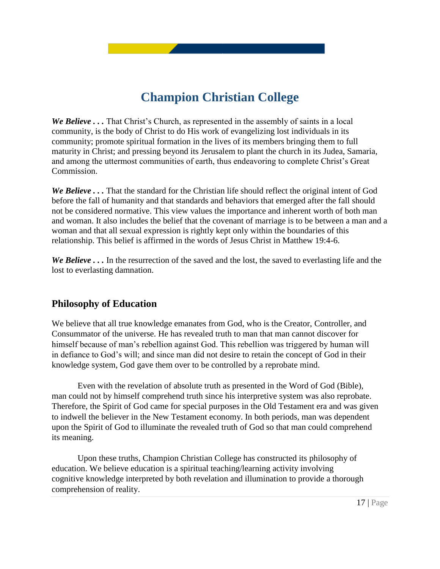*We Believe* . . . That Christ's Church, as represented in the assembly of saints in a local community, is the body of Christ to do His work of evangelizing lost individuals in its community; promote spiritual formation in the lives of its members bringing them to full maturity in Christ; and pressing beyond its Jerusalem to plant the church in its Judea, Samaria, and among the uttermost communities of earth, thus endeavoring to complete Christ's Great Commission.

*We Believe* . . . That the standard for the Christian life should reflect the original intent of God before the fall of humanity and that standards and behaviors that emerged after the fall should not be considered normative. This view values the importance and inherent worth of both man and woman. It also includes the belief that the covenant of marriage is to be between a man and a woman and that all sexual expression is rightly kept only within the boundaries of this relationship. This belief is affirmed in the words of Jesus Christ in Matthew 19:4-6.

*We Believe . . .* In the resurrection of the saved and the lost, the saved to everlasting life and the lost to everlasting damnation.

### <span id="page-16-0"></span>**Philosophy of Education**

We believe that all true knowledge emanates from God, who is the Creator, Controller, and Consummator of the universe. He has revealed truth to man that man cannot discover for himself because of man's rebellion against God. This rebellion was triggered by human will in defiance to God's will; and since man did not desire to retain the concept of God in their knowledge system, God gave them over to be controlled by a reprobate mind.

Even with the revelation of absolute truth as presented in the Word of God (Bible), man could not by himself comprehend truth since his interpretive system was also reprobate. Therefore, the Spirit of God came for special purposes in the Old Testament era and was given to indwell the believer in the New Testament economy. In both periods, man was dependent upon the Spirit of God to illuminate the revealed truth of God so that man could comprehend its meaning.

Upon these truths, Champion Christian College has constructed its philosophy of education. We believe education is a spiritual teaching/learning activity involving cognitive knowledge interpreted by both revelation and illumination to provide a thorough comprehension of reality.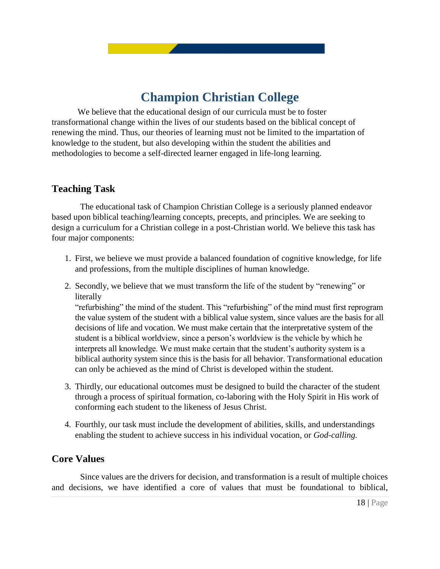We believe that the educational design of our curricula must be to foster transformational change within the lives of our students based on the biblical concept of renewing the mind. Thus, our theories of learning must not be limited to the impartation of knowledge to the student, but also developing within the student the abilities and methodologies to become a self-directed learner engaged in life-long learning.

### <span id="page-17-0"></span>**Teaching Task**

The educational task of Champion Christian College is a seriously planned endeavor based upon biblical teaching/learning concepts, precepts, and principles. We are seeking to design a curriculum for a Christian college in a post-Christian world. We believe this task has four major components:

- 1. First, we believe we must provide a balanced foundation of cognitive knowledge, for life and professions, from the multiple disciplines of human knowledge.
- 2. Secondly, we believe that we must transform the life of the student by "renewing" or literally

"refurbishing" the mind of the student. This "refurbishing" of the mind must first reprogram the value system of the student with a biblical value system, since values are the basis for all decisions of life and vocation. We must make certain that the interpretative system of the student is a biblical worldview, since a person's worldview is the vehicle by which he interprets all knowledge. We must make certain that the student's authority system is a biblical authority system since this is the basis for all behavior. Transformational education can only be achieved as the mind of Christ is developed within the student.

- 3. Thirdly, our educational outcomes must be designed to build the character of the student through a process of spiritual formation, co-laboring with the Holy Spirit in His work of conforming each student to the likeness of Jesus Christ.
- 4. Fourthly, our task must include the development of abilities, skills, and understandings enabling the student to achieve success in his individual vocation, or *God-calling.*

### <span id="page-17-1"></span>**Core Values**

Since values are the drivers for decision, and transformation is a result of multiple choices and decisions, we have identified a core of values that must be foundational to biblical,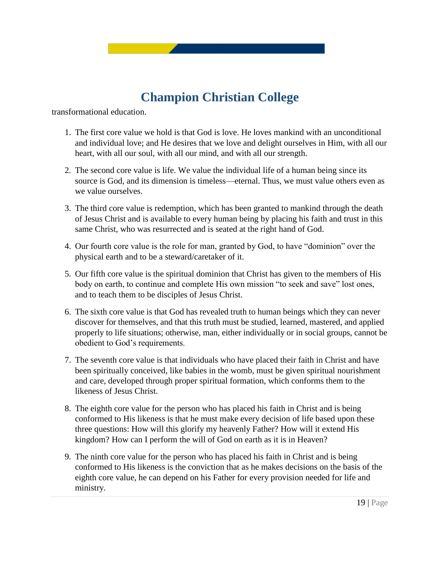

transformational education.

- 1. The first core value we hold is that God is love. He loves mankind with an unconditional and individual love; and He desires that we love and delight ourselves in Him, with all our heart, with all our soul, with all our mind, and with all our strength.
- 2. The second core value is life. We value the individual life of a human being since its source is God, and its dimension is timeless—eternal. Thus, we must value others even as we value ourselves.
- 3. The third core value is redemption, which has been granted to mankind through the death of Jesus Christ and is available to every human being by placing his faith and trust in this same Christ, who was resurrected and is seated at the right hand of God.
- 4. Our fourth core value is the role for man, granted by God, to have "dominion" over the physical earth and to be a steward/caretaker of it.
- 5. Our fifth core value is the spiritual dominion that Christ has given to the members of His body on earth, to continue and complete His own mission "to seek and save" lost ones, and to teach them to be disciples of Jesus Christ.
- 6. The sixth core value is that God has revealed truth to human beings which they can never discover for themselves, and that this truth must be studied, learned, mastered, and applied properly to life situations; otherwise, man, either individually or in social groups, cannot be obedient to God's requirements.
- 7. The seventh core value is that individuals who have placed their faith in Christ and have been spiritually conceived, like babies in the womb, must be given spiritual nourishment and care, developed through proper spiritual formation, which conforms them to the likeness of Jesus Christ.
- 8. The eighth core value for the person who has placed his faith in Christ and is being conformed to His likeness is that he must make every decision of life based upon these three questions: How will this glorify my heavenly Father? How will it extend His kingdom? How can I perform the will of God on earth as it is in Heaven?
- 9. The ninth core value for the person who has placed his faith in Christ and is being conformed to His likeness is the conviction that as he makes decisions on the basis of the eighth core value, he can depend on his Father for every provision needed for life and ministry.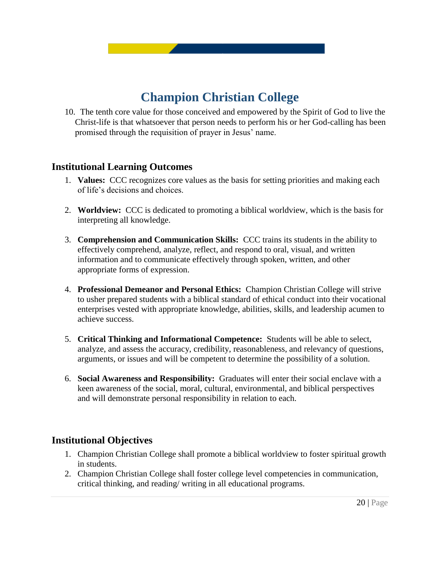10. The tenth core value for those conceived and empowered by the Spirit of God to live the Christ-life is that whatsoever that person needs to perform his or her God-calling has been promised through the requisition of prayer in Jesus' name.

### <span id="page-19-0"></span>**Institutional Learning Outcomes**

- 1. **Values:** CCC recognizes core values as the basis for setting priorities and making each of life's decisions and choices.
- 2. **Worldview:** CCC is dedicated to promoting a biblical worldview, which is the basis for interpreting all knowledge.
- 3. **Comprehension and Communication Skills:** CCC trains its students in the ability to effectively comprehend, analyze, reflect, and respond to oral, visual, and written information and to communicate effectively through spoken, written, and other appropriate forms of expression.
- 4. **Professional Demeanor and Personal Ethics:** Champion Christian College will strive to usher prepared students with a biblical standard of ethical conduct into their vocational enterprises vested with appropriate knowledge, abilities, skills, and leadership acumen to achieve success.
- 5. **Critical Thinking and Informational Competence:** Students will be able to select, analyze, and assess the accuracy, credibility, reasonableness, and relevancy of questions, arguments, or issues and will be competent to determine the possibility of a solution.
- 6. **Social Awareness and Responsibility:** Graduates will enter their social enclave with a keen awareness of the social, moral, cultural, environmental, and biblical perspectives and will demonstrate personal responsibility in relation to each.

### <span id="page-19-1"></span>**Institutional Objectives**

- 1. Champion Christian College shall promote a biblical worldview to foster spiritual growth in students.
- 2. Champion Christian College shall foster college level competencies in communication, critical thinking, and reading/ writing in all educational programs.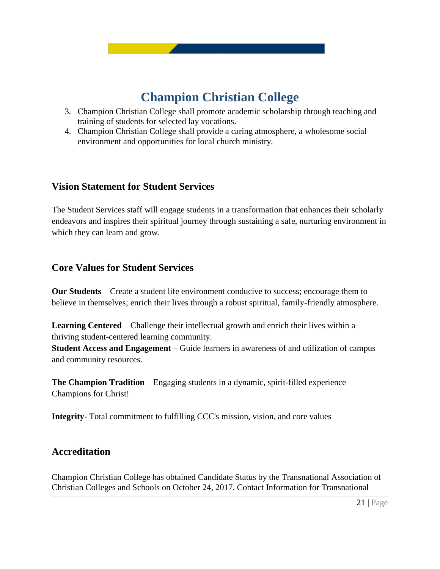

- 3. Champion Christian College shall promote academic scholarship through teaching and training of students for selected lay vocations.
- 4. Champion Christian College shall provide a caring atmosphere, a wholesome social environment and opportunities for local church ministry.

### <span id="page-20-0"></span>**Vision Statement for Student Services**

The Student Services staff will engage students in a transformation that enhances their scholarly endeavors and inspires their spiritual journey through sustaining a safe, nurturing environment in which they can learn and grow.

### <span id="page-20-1"></span>**Core Values for Student Services**

**Our Students** – Create a student life environment conducive to success; encourage them to believe in themselves; enrich their lives through a robust spiritual, family-friendly atmosphere.

**Learning Centered** – Challenge their intellectual growth and enrich their lives within a thriving student-centered learning community.

**Student Access and Engagement** – Guide learners in awareness of and utilization of campus and community resources.

**The Champion Tradition** – Engaging students in a dynamic, spirit-filled experience – Champions for Christ!

**Integrity**- Total commitment to fulfilling CCC's mission, vision, and core values

### <span id="page-20-2"></span>**Accreditation**

Champion Christian College has obtained Candidate Status by the Transnational Association of Christian Colleges and Schools on October 24, 2017. Contact Information for Transnational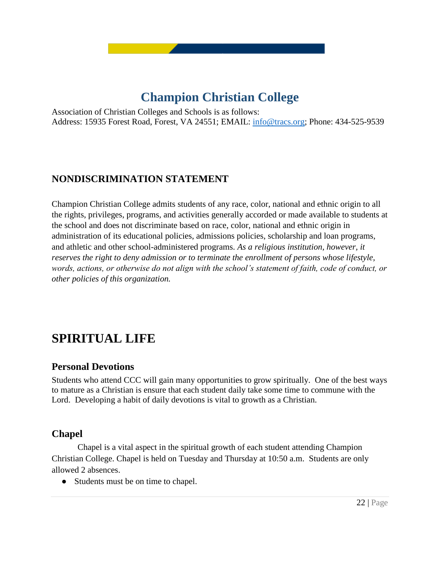Association of Christian Colleges and Schools is as follows: Address: 15935 Forest Road, Forest, VA 24551; EMAIL: [info@tracs.org;](mailto:info@tracs.org) Phone: 434-525-9539

## <span id="page-21-0"></span>**NONDISCRIMINATION STATEMENT**

Champion Christian College admits students of any race, color, national and ethnic origin to all the rights, privileges, programs, and activities generally accorded or made available to students at the school and does not discriminate based on race, color, national and ethnic origin in administration of its educational policies, admissions policies, scholarship and loan programs, and athletic and other school-administered programs. *As a religious institution, however, it reserves the right to deny admission or to terminate the enrollment of persons whose lifestyle, words, actions, or otherwise do not align with the school's statement of faith, code of conduct, or other policies of this organization.*

## <span id="page-21-1"></span>**SPIRITUAL LIFE**

### <span id="page-21-2"></span>**Personal Devotions**

Students who attend CCC will gain many opportunities to grow spiritually. One of the best ways to mature as a Christian is ensure that each student daily take some time to commune with the Lord. Developing a habit of daily devotions is vital to growth as a Christian.

### <span id="page-21-3"></span>**Chapel**

Chapel is a vital aspect in the spiritual growth of each student attending Champion Christian College. Chapel is held on Tuesday and Thursday at 10:50 a.m. Students are only allowed 2 absences.

● Students must be on time to chapel.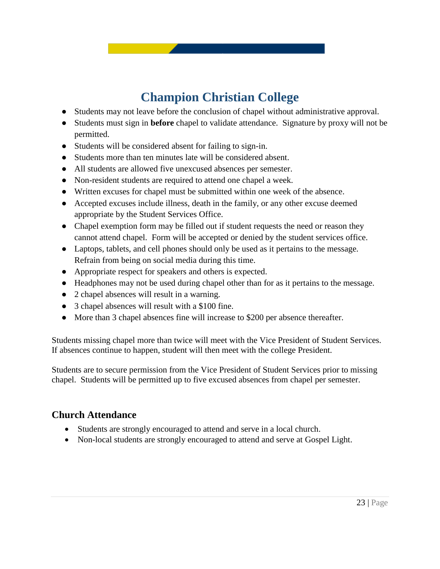- Students may not leave before the conclusion of chapel without administrative approval.
- Students must sign in **before** chapel to validate attendance. Signature by proxy will not be permitted.
- Students will be considered absent for failing to sign-in.
- Students more than ten minutes late will be considered absent.
- All students are allowed five unexcused absences per semester.
- Non-resident students are required to attend one chapel a week.
- Written excuses for chapel must be submitted within one week of the absence.
- Accepted excuses include illness, death in the family, or any other excuse deemed appropriate by the Student Services Office.
- Chapel exemption form may be filled out if student requests the need or reason they cannot attend chapel. Form will be accepted or denied by the student services office.
- Laptops, tablets, and cell phones should only be used as it pertains to the message. Refrain from being on social media during this time.
- Appropriate respect for speakers and others is expected.
- Headphones may not be used during chapel other than for as it pertains to the message.
- 2 chapel absences will result in a warning.
- 3 chapel absences will result with a \$100 fine.
- More than 3 chapel absences fine will increase to \$200 per absence thereafter.

Students missing chapel more than twice will meet with the Vice President of Student Services. If absences continue to happen, student will then meet with the college President.

Students are to secure permission from the Vice President of Student Services prior to missing chapel. Students will be permitted up to five excused absences from chapel per semester.

### <span id="page-22-0"></span>**Church Attendance**

- Students are strongly encouraged to attend and serve in a local church.
- Non-local students are strongly encouraged to attend and serve at Gospel Light.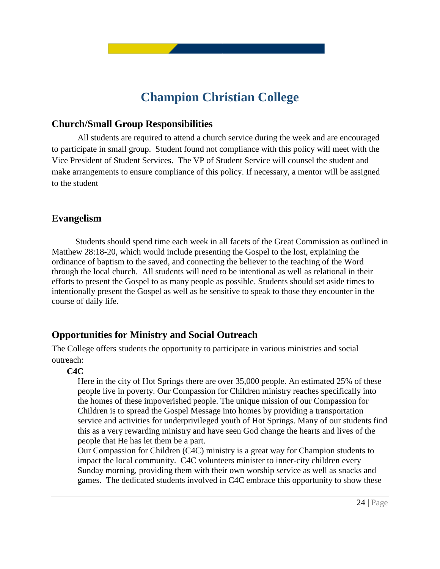### <span id="page-23-0"></span>**Church/Small Group Responsibilities**

All students are required to attend a church service during the week and are encouraged to participate in small group. Student found not compliance with this policy will meet with the Vice President of Student Services. The VP of Student Service will counsel the student and make arrangements to ensure compliance of this policy. If necessary, a mentor will be assigned to the student

### <span id="page-23-1"></span>**Evangelism**

 Students should spend time each week in all facets of the Great Commission as outlined in Matthew 28:18-20, which would include presenting the Gospel to the lost, explaining the ordinance of baptism to the saved, and connecting the believer to the teaching of the Word through the local church. All students will need to be intentional as well as relational in their efforts to present the Gospel to as many people as possible. Students should set aside times to intentionally present the Gospel as well as be sensitive to speak to those they encounter in the course of daily life.

### <span id="page-23-2"></span>**Opportunities for Ministry and Social Outreach**

The College offers students the opportunity to participate in various ministries and social outreach:

#### **C4C**

Here in the city of Hot Springs there are over 35,000 people. An estimated 25% of these people live in poverty. Our Compassion for Children ministry reaches specifically into the homes of these impoverished people. The unique mission of our Compassion for Children is to spread the Gospel Message into homes by providing a transportation service and activities for underprivileged youth of Hot Springs. Many of our students find this as a very rewarding ministry and have seen God change the hearts and lives of the people that He has let them be a part.

Our Compassion for Children (C4C) ministry is a great way for Champion students to impact the local community. C4C volunteers minister to inner-city children every Sunday morning, providing them with their own worship service as well as snacks and games. The dedicated students involved in C4C embrace this opportunity to show these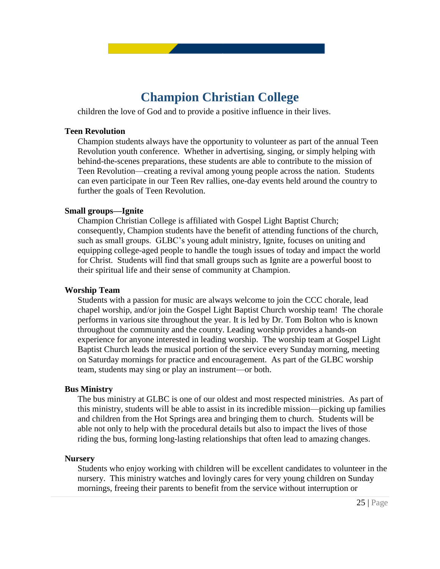children the love of God and to provide a positive influence in their lives.

#### **Teen Revolution**

Champion students always have the opportunity to volunteer as part of the annual Teen Revolution youth conference. Whether in advertising, singing, or simply helping with behind-the-scenes preparations, these students are able to contribute to the mission of Teen Revolution—creating a revival among young people across the nation. Students can even participate in our Teen Rev rallies, one-day events held around the country to further the goals of Teen Revolution.

#### **Small groups—Ignite**

Champion Christian College is affiliated with Gospel Light Baptist Church; consequently, Champion students have the benefit of attending functions of the church, such as small groups. GLBC's young adult ministry, Ignite, focuses on uniting and equipping college-aged people to handle the tough issues of today and impact the world for Christ. Students will find that small groups such as Ignite are a powerful boost to their spiritual life and their sense of community at Champion.

#### **Worship Team**

Students with a passion for music are always welcome to join the CCC chorale, lead chapel worship, and/or join the Gospel Light Baptist Church worship team! The chorale performs in various site throughout the year. It is led by Dr. Tom Bolton who is known throughout the community and the county. Leading worship provides a hands-on experience for anyone interested in leading worship. The worship team at Gospel Light Baptist Church leads the musical portion of the service every Sunday morning, meeting on Saturday mornings for practice and encouragement. As part of the GLBC worship team, students may sing or play an instrument—or both.

#### **Bus Ministry**

The bus ministry at GLBC is one of our oldest and most respected ministries. As part of this ministry, students will be able to assist in its incredible mission—picking up families and children from the Hot Springs area and bringing them to church. Students will be able not only to help with the procedural details but also to impact the lives of those riding the bus, forming long-lasting relationships that often lead to amazing changes.

#### **Nursery**

Students who enjoy working with children will be excellent candidates to volunteer in the nursery. This ministry watches and lovingly cares for very young children on Sunday mornings, freeing their parents to benefit from the service without interruption or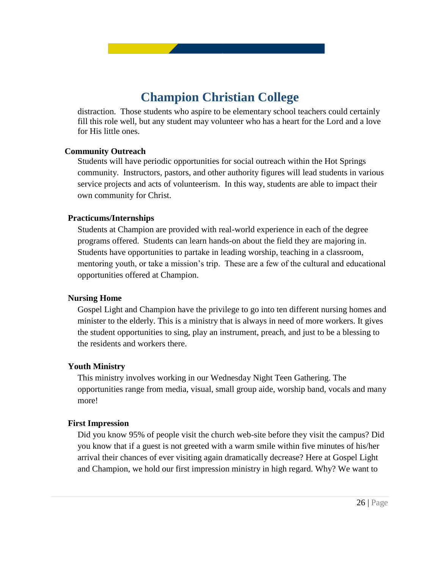distraction. Those students who aspire to be elementary school teachers could certainly fill this role well, but any student may volunteer who has a heart for the Lord and a love for His little ones.

#### **Community Outreach**

Students will have periodic opportunities for social outreach within the Hot Springs community. Instructors, pastors, and other authority figures will lead students in various service projects and acts of volunteerism. In this way, students are able to impact their own community for Christ.

#### **Practicums/Internships**

Students at Champion are provided with real-world experience in each of the degree programs offered. Students can learn hands-on about the field they are majoring in. Students have opportunities to partake in leading worship, teaching in a classroom, mentoring youth, or take a mission's trip. These are a few of the cultural and educational opportunities offered at Champion.

#### **Nursing Home**

Gospel Light and Champion have the privilege to go into ten different nursing homes and minister to the elderly. This is a ministry that is always in need of more workers. It gives the student opportunities to sing, play an instrument, preach, and just to be a blessing to the residents and workers there.

#### **Youth Ministry**

This ministry involves working in our Wednesday Night Teen Gathering. The opportunities range from media, visual, small group aide, worship band, vocals and many more!

#### **First Impression**

Did you know 95% of people visit the church web-site before they visit the campus? Did you know that if a guest is not greeted with a warm smile within five minutes of his/her arrival their chances of ever visiting again dramatically decrease? Here at Gospel Light and Champion, we hold our first impression ministry in high regard. Why? We want to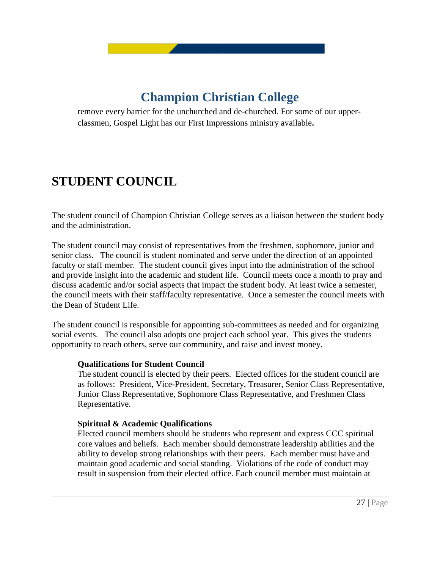remove every barrier for the unchurched and de-churched. For some of our upperclassmen, Gospel Light has our First Impressions ministry available**.**

# <span id="page-26-0"></span>**STUDENT COUNCIL**

The student council of Champion Christian College serves as a liaison between the student body and the administration.

The student council may consist of representatives from the freshmen, sophomore, junior and senior class. The council is student nominated and serve under the direction of an appointed faculty or staff member. The student council gives input into the administration of the school and provide insight into the academic and student life. Council meets once a month to pray and discuss academic and/or social aspects that impact the student body. At least twice a semester, the council meets with their staff/faculty representative. Once a semester the council meets with the Dean of Student Life.

The student council is responsible for appointing sub-committees as needed and for organizing social events. The council also adopts one project each school year. This gives the students opportunity to reach others, serve our community, and raise and invest money.

#### **Qualifications for Student Council**

The student council is elected by their peers. Elected offices for the student council are as follows: President, Vice-President, Secretary, Treasurer, Senior Class Representative, Junior Class Representative, Sophomore Class Representative, and Freshmen Class Representative.

#### **Spiritual & Academic Qualifications**

Elected council members should be students who represent and express CCC spiritual core values and beliefs. Each member should demonstrate leadership abilities and the ability to develop strong relationships with their peers. Each member must have and maintain good academic and social standing. Violations of the code of conduct may result in suspension from their elected office. Each council member must maintain at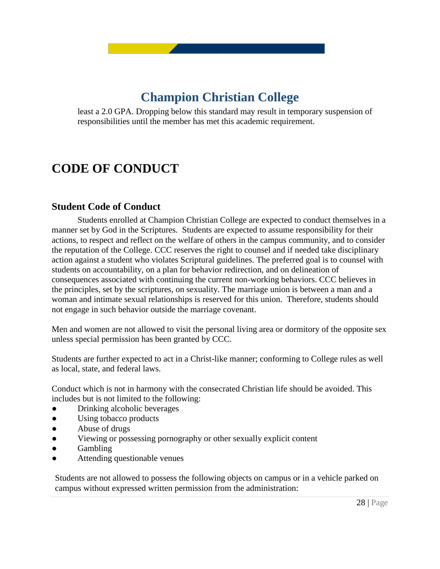least a 2.0 GPA. Dropping below this standard may result in temporary suspension of responsibilities until the member has met this academic requirement.

# <span id="page-27-0"></span>**CODE OF CONDUCT**

### <span id="page-27-1"></span>**Student Code of Conduct**

 Students enrolled at Champion Christian College are expected to conduct themselves in a manner set by God in the Scriptures. Students are expected to assume responsibility for their actions, to respect and reflect on the welfare of others in the campus community, and to consider the reputation of the College. CCC reserves the right to counsel and if needed take disciplinary action against a student who violates Scriptural guidelines. The preferred goal is to counsel with students on accountability, on a plan for behavior redirection, and on delineation of consequences associated with continuing the current non-working behaviors. CCC believes in the principles, set by the scriptures, on sexuality. The marriage union is between a man and a woman and intimate sexual relationships is reserved for this union. Therefore, students should not engage in such behavior outside the marriage covenant.

Men and women are not allowed to visit the personal living area or dormitory of the opposite sex unless special permission has been granted by CCC.

Students are further expected to act in a Christ-like manner; conforming to College rules as well as local, state, and federal laws.

Conduct which is not in harmony with the consecrated Christian life should be avoided. This includes but is not limited to the following:

- Drinking alcoholic beverages
- Using tobacco products
- Abuse of drugs
- Viewing or possessing pornography or other sexually explicit content
- Gambling
- Attending questionable venues

Students are not allowed to possess the following objects on campus or in a vehicle parked on campus without expressed written permission from the administration: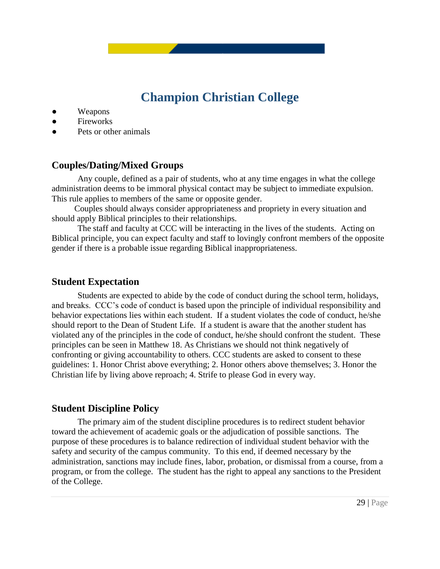- Weapons
- **Fireworks**
- Pets or other animals

### <span id="page-28-0"></span>**Couples/Dating/Mixed Groups**

Any couple, defined as a pair of students, who at any time engages in what the college administration deems to be immoral physical contact may be subject to immediate expulsion. This rule applies to members of the same or opposite gender.

Couples should always consider appropriateness and propriety in every situation and should apply Biblical principles to their relationships.

The staff and faculty at CCC will be interacting in the lives of the students. Acting on Biblical principle, you can expect faculty and staff to lovingly confront members of the opposite gender if there is a probable issue regarding Biblical inappropriateness.

#### <span id="page-28-1"></span>**Student Expectation**

Students are expected to abide by the code of conduct during the school term, holidays, and breaks. CCC's code of conduct is based upon the principle of individual responsibility and behavior expectations lies within each student. If a student violates the code of conduct, he/she should report to the Dean of Student Life. If a student is aware that the another student has violated any of the principles in the code of conduct, he/she should confront the student. These principles can be seen in Matthew 18. As Christians we should not think negatively of confronting or giving accountability to others. CCC students are asked to consent to these guidelines: 1. Honor Christ above everything; 2. Honor others above themselves; 3. Honor the Christian life by living above reproach; 4. Strife to please God in every way.

#### <span id="page-28-2"></span>**Student Discipline Policy**

The primary aim of the student discipline procedures is to redirect student behavior toward the achievement of academic goals or the adjudication of possible sanctions. The purpose of these procedures is to balance redirection of individual student behavior with the safety and security of the campus community. To this end, if deemed necessary by the administration, sanctions may include fines, labor, probation, or dismissal from a course, from a program, or from the college. The student has the right to appeal any sanctions to the President of the College.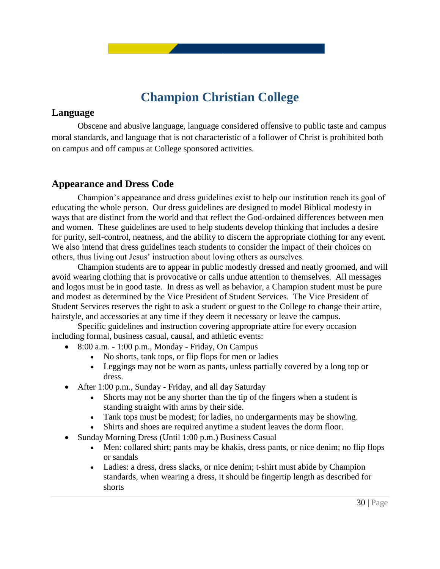### <span id="page-29-0"></span>**Language**

 Obscene and abusive language, language considered offensive to public taste and campus moral standards, and language that is not characteristic of a follower of Christ is prohibited both on campus and off campus at College sponsored activities.

### <span id="page-29-1"></span>**Appearance and Dress Code**

Champion's appearance and dress guidelines exist to help our institution reach its goal of educating the whole person. Our dress guidelines are designed to model Biblical modesty in ways that are distinct from the world and that reflect the God-ordained differences between men and women. These guidelines are used to help students develop thinking that includes a desire for purity, self-control, neatness, and the ability to discern the appropriate clothing for any event. We also intend that dress guidelines teach students to consider the impact of their choices on others, thus living out Jesus' instruction about loving others as ourselves.

Champion students are to appear in public modestly dressed and neatly groomed, and will avoid wearing clothing that is provocative or calls undue attention to themselves. All messages and logos must be in good taste. In dress as well as behavior, a Champion student must be pure and modest as determined by the Vice President of Student Services. The Vice President of Student Services reserves the right to ask a student or guest to the College to change their attire, hairstyle, and accessories at any time if they deem it necessary or leave the campus.

Specific guidelines and instruction covering appropriate attire for every occasion including formal, business casual, causal, and athletic events:

- 8:00 a.m.  $-1:00$  p.m., Monday Friday, On Campus
	- No shorts, tank tops, or flip flops for men or ladies
	- Leggings may not be worn as pants, unless partially covered by a long top or dress.
- After 1:00 p.m., Sunday Friday, and all day Saturday
	- Shorts may not be any shorter than the tip of the fingers when a student is standing straight with arms by their side.
	- Tank tops must be modest; for ladies, no undergarments may be showing.
	- Shirts and shoes are required anytime a student leaves the dorm floor.
- Sunday Morning Dress (Until 1:00 p.m.) Business Casual
	- Men: collared shirt; pants may be khakis, dress pants, or nice denim; no flip flops or sandals
	- Ladies: a dress, dress slacks, or nice denim; t-shirt must abide by Champion standards, when wearing a dress, it should be fingertip length as described for shorts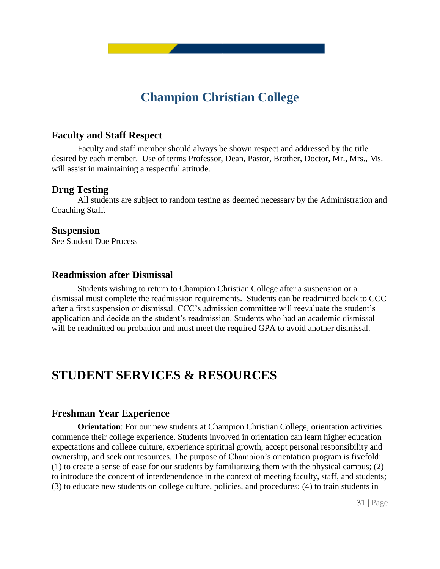#### <span id="page-30-0"></span>**Faculty and Staff Respect**

Faculty and staff member should always be shown respect and addressed by the title desired by each member. Use of terms Professor, Dean, Pastor, Brother, Doctor, Mr., Mrs., Ms. will assist in maintaining a respectful attitude.

#### **Drug Testing**

All students are subject to random testing as deemed necessary by the Administration and Coaching Staff.

#### **Suspension**

See Student Due Process

#### <span id="page-30-1"></span>**Readmission after Dismissal**

Students wishing to return to Champion Christian College after a suspension or a dismissal must complete the readmission requirements. Students can be readmitted back to CCC after a first suspension or dismissal. CCC's admission committee will reevaluate the student's application and decide on the student's readmission. Students who had an academic dismissal will be readmitted on probation and must meet the required GPA to avoid another dismissal.

## <span id="page-30-2"></span>**STUDENT SERVICES & RESOURCES**

#### <span id="page-30-3"></span>**Freshman Year Experience**

**Orientation**: For our new students at Champion Christian College, orientation activities commence their college experience. Students involved in orientation can learn higher education expectations and college culture, experience spiritual growth, accept personal responsibility and ownership, and seek out resources. The purpose of Champion's orientation program is fivefold: (1) to create a sense of ease for our students by familiarizing them with the physical campus; (2) to introduce the concept of interdependence in the context of meeting faculty, staff, and students; (3) to educate new students on college culture, policies, and procedures; (4) to train students in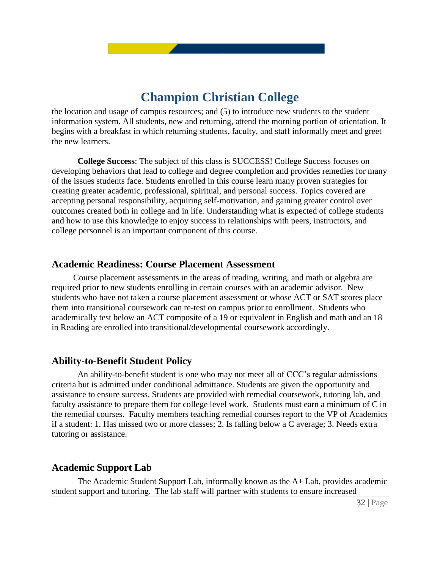the location and usage of campus resources; and (5) to introduce new students to the student information system. All students, new and returning, attend the morning portion of orientation. It begins with a breakfast in which returning students, faculty, and staff informally meet and greet the new learners.

**College Success**: The subject of this class is SUCCESS! College Success focuses on developing behaviors that lead to college and degree completion and provides remedies for many of the issues students face. Students enrolled in this course learn many proven strategies for creating greater academic, professional, spiritual, and personal success. Topics covered are accepting personal responsibility, acquiring self-motivation, and gaining greater control over outcomes created both in college and in life. Understanding what is expected of college students and how to use this knowledge to enjoy success in relationships with peers, instructors, and college personnel is an important component of this course.

#### <span id="page-31-0"></span>**Academic Readiness: Course Placement Assessment**

Course placement assessments in the areas of reading, writing, and math or algebra are required prior to new students enrolling in certain courses with an academic advisor. New students who have not taken a course placement assessment or whose ACT or SAT scores place them into transitional coursework can re-test on campus prior to enrollment. Students who academically test below an ACT composite of a 19 or equivalent in English and math and an 18 in Reading are enrolled into transitional/developmental coursework accordingly.

#### <span id="page-31-1"></span>**Ability-to-Benefit Student Policy**

An ability-to-benefit student is one who may not meet all of CCC's regular admissions criteria but is admitted under conditional admittance. Students are given the opportunity and assistance to ensure success. Students are provided with remedial coursework, tutoring lab, and faculty assistance to prepare them for college level work. Students must earn a minimum of C in the remedial courses. Faculty members teaching remedial courses report to the VP of Academics if a student: 1. Has missed two or more classes; 2. Is falling below a C average; 3. Needs extra tutoring or assistance.

#### <span id="page-31-2"></span>**Academic Support Lab**

The Academic Student Support Lab, informally known as the A+ Lab, provides academic student support and tutoring. The lab staff will partner with students to ensure increased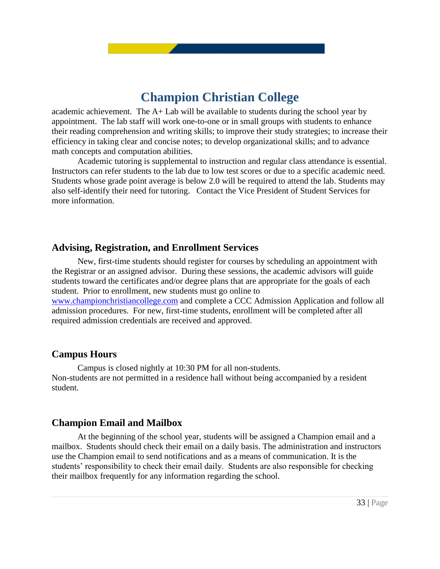

academic achievement. The A+ Lab will be available to students during the school year by appointment. The lab staff will work one-to-one or in small groups with students to enhance their reading comprehension and writing skills; to improve their study strategies; to increase their efficiency in taking clear and concise notes; to develop organizational skills; and to advance math concepts and computation abilities.

Academic tutoring is supplemental to instruction and regular class attendance is essential. Instructors can refer students to the lab due to low test scores or due to a specific academic need. Students whose grade point average is below 2.0 will be required to attend the lab. Students may also self-identify their need for tutoring. Contact the Vice President of Student Services for more information.

#### <span id="page-32-0"></span>**Advising, Registration, and Enrollment Services**

 New, first-time students should register for courses by scheduling an appointment with the Registrar or an assigned advisor. During these sessions, the academic advisors will guide students toward the certificates and/or degree plans that are appropriate for the goals of each student. Prior to enrollment, new students must go online to [www.championchristiancollege.com](http://www.championchristiancollege.com/) and complete a CCC Admission Application and follow all admission procedures. For new, first-time students, enrollment will be completed after all required admission credentials are received and approved.

#### <span id="page-32-1"></span>**Campus Hours**

Campus is closed nightly at 10:30 PM for all non-students. Non-students are not permitted in a residence hall without being accompanied by a resident student.

#### <span id="page-32-2"></span>**Champion Email and Mailbox**

At the beginning of the school year, students will be assigned a Champion email and a mailbox. Students should check their email on a daily basis. The administration and instructors use the Champion email to send notifications and as a means of communication. It is the students' responsibility to check their email daily. Students are also responsible for checking their mailbox frequently for any information regarding the school.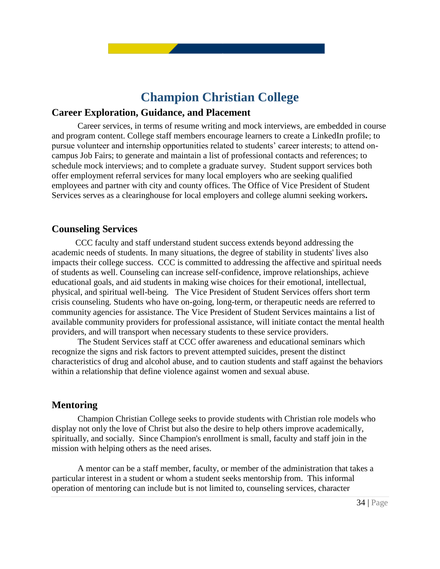#### <span id="page-33-0"></span>**Career Exploration, Guidance, and Placement**

Career services, in terms of resume writing and mock interviews, are embedded in course and program content. College staff members encourage learners to create a LinkedIn profile; to pursue volunteer and internship opportunities related to students' career interests; to attend oncampus Job Fairs; to generate and maintain a list of professional contacts and references; to schedule mock interviews; and to complete a graduate survey. Student support services both offer employment referral services for many local employers who are seeking qualified employees and partner with city and county offices. The Office of Vice President of Student Services serves as a clearinghouse for local employers and college alumni seeking workers**.**

#### <span id="page-33-1"></span>**Counseling Services**

 CCC faculty and staff understand student success extends beyond addressing the academic needs of students. In many situations, the degree of stability in students' lives also impacts their college success. CCC is committed to addressing the affective and spiritual needs of students as well. Counseling can increase self-confidence, improve relationships, achieve educational goals, and aid students in making wise choices for their emotional, intellectual, physical, and spiritual well-being. The Vice President of Student Services offers short term crisis counseling. Students who have on-going, long-term, or therapeutic needs are referred to community agencies for assistance. The Vice President of Student Services maintains a list of available community providers for professional assistance, will initiate contact the mental health providers, and will transport when necessary students to these service providers.

The Student Services staff at CCC offer awareness and educational seminars which recognize the signs and risk factors to prevent attempted suicides, present the distinct characteristics of drug and alcohol abuse, and to caution students and staff against the behaviors within a relationship that define violence against women and sexual abuse.

#### <span id="page-33-2"></span>**Mentoring**

Champion Christian College seeks to provide students with Christian role models who display not only the love of Christ but also the desire to help others improve academically, spiritually, and socially. Since Champion's enrollment is small, faculty and staff join in the mission with helping others as the need arises.

A mentor can be a staff member, faculty, or member of the administration that takes a particular interest in a student or whom a student seeks mentorship from. This informal operation of mentoring can include but is not limited to, counseling services, character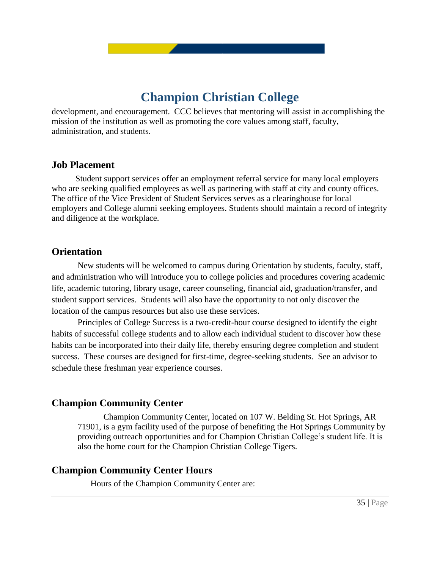development, and encouragement. CCC believes that mentoring will assist in accomplishing the mission of the institution as well as promoting the core values among staff, faculty, administration, and students.

#### <span id="page-34-0"></span>**Job Placement**

 Student support services offer an employment referral service for many local employers who are seeking qualified employees as well as partnering with staff at city and county offices. The office of the Vice President of Student Services serves as a clearinghouse for local employers and College alumni seeking employees. Students should maintain a record of integrity and diligence at the workplace.

### <span id="page-34-1"></span>**Orientation**

New students will be welcomed to campus during Orientation by students, faculty, staff, and administration who will introduce you to college policies and procedures covering academic life, academic tutoring, library usage, career counseling, financial aid, graduation/transfer, and student support services. Students will also have the opportunity to not only discover the location of the campus resources but also use these services.

Principles of College Success is a two-credit-hour course designed to identify the eight habits of successful college students and to allow each individual student to discover how these habits can be incorporated into their daily life, thereby ensuring degree completion and student success. These courses are designed for first-time, degree-seeking students. See an advisor to schedule these freshman year experience courses.

### <span id="page-34-2"></span>**Champion Community Center**

Champion Community Center, located on 107 W. Belding St. Hot Springs, AR 71901, is a gym facility used of the purpose of benefiting the Hot Springs Community by providing outreach opportunities and for Champion Christian College's student life. It is also the home court for the Champion Christian College Tigers.

#### <span id="page-34-3"></span>**Champion Community Center Hours**

Hours of the Champion Community Center are: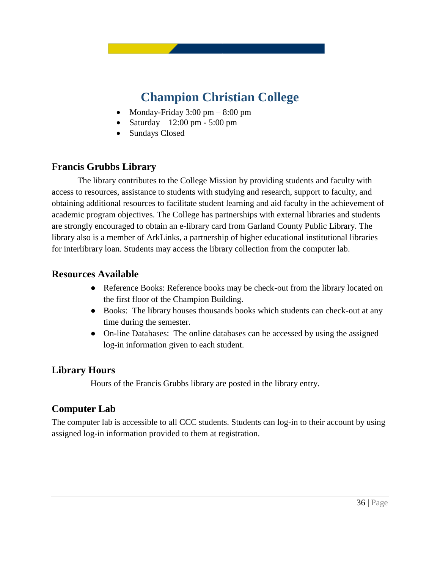- Monday-Friday  $3:00 \text{ pm} 8:00 \text{ pm}$
- Saturday 12:00 pm 5:00 pm
- Sundays Closed

### <span id="page-35-0"></span>**Francis Grubbs Library**

The library contributes to the College Mission by providing students and faculty with access to resources, assistance to students with studying and research, support to faculty, and obtaining additional resources to facilitate student learning and aid faculty in the achievement of academic program objectives. The College has partnerships with external libraries and students are strongly encouraged to obtain an e-library card from Garland County Public Library. The library also is a member of ArkLinks, a partnership of higher educational institutional libraries for interlibrary loan. Students may access the library collection from the computer lab.

### <span id="page-35-1"></span>**Resources Available**

- Reference Books: Reference books may be check-out from the library located on the first floor of the Champion Building.
- Books: The library houses thousands books which students can check-out at any time during the semester.
- On-line Databases: The online databases can be accessed by using the assigned log-in information given to each student.

### <span id="page-35-2"></span>**Library Hours**

Hours of the Francis Grubbs library are posted in the library entry.

### <span id="page-35-3"></span>**Computer Lab**

The computer lab is accessible to all CCC students. Students can log-in to their account by using assigned log-in information provided to them at registration.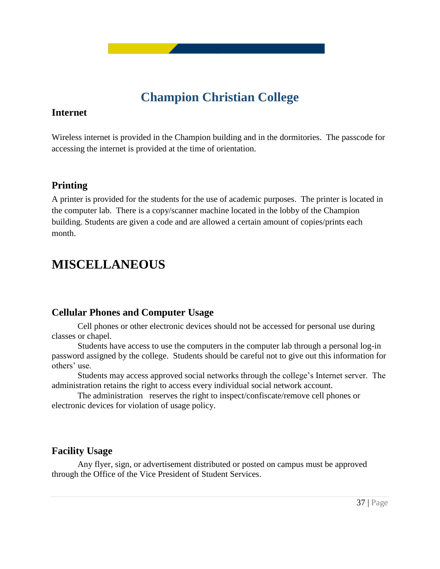### **Internet**

Wireless internet is provided in the Champion building and in the dormitories. The passcode for accessing the internet is provided at the time of orientation.

### **Printing**

A printer is provided for the students for the use of academic purposes. The printer is located in the computer lab. There is a copy/scanner machine located in the lobby of the Champion building. Students are given a code and are allowed a certain amount of copies/prints each month.

### **MISCELLANEOUS**

### **Cellular Phones and Computer Usage**

Cell phones or other electronic devices should not be accessed for personal use during classes or chapel.

Students have access to use the computers in the computer lab through a personal log-in password assigned by the college. Students should be careful not to give out this information for others' use.

Students may access approved social networks through the college's Internet server. The administration retains the right to access every individual social network account.

The administration reserves the right to inspect/confiscate/remove cell phones or electronic devices for violation of usage policy.

### **Facility Usage**

Any flyer, sign, or advertisement distributed or posted on campus must be approved through the Office of the Vice President of Student Services.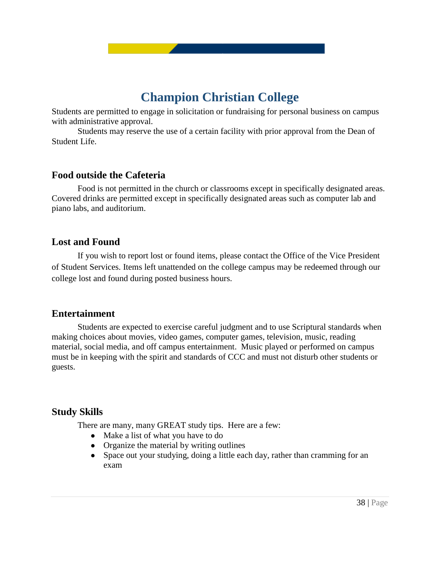Students are permitted to engage in solicitation or fundraising for personal business on campus with administrative approval.

Students may reserve the use of a certain facility with prior approval from the Dean of Student Life.

#### **Food outside the Cafeteria**

Food is not permitted in the church or classrooms except in specifically designated areas. Covered drinks are permitted except in specifically designated areas such as computer lab and piano labs, and auditorium.

#### **Lost and Found**

If you wish to report lost or found items, please contact the Office of the Vice President of Student Services. Items left unattended on the college campus may be redeemed through our college lost and found during posted business hours.

#### **Entertainment**

 Students are expected to exercise careful judgment and to use Scriptural standards when making choices about movies, video games, computer games, television, music, reading material, social media, and off campus entertainment. Music played or performed on campus must be in keeping with the spirit and standards of CCC and must not disturb other students or guests.

### **Study Skills**

There are many, many GREAT study tips. Here are a few:

- Make a list of what you have to do
- Organize the material by writing outlines
- Space out your studying, doing a little each day, rather than cramming for an exam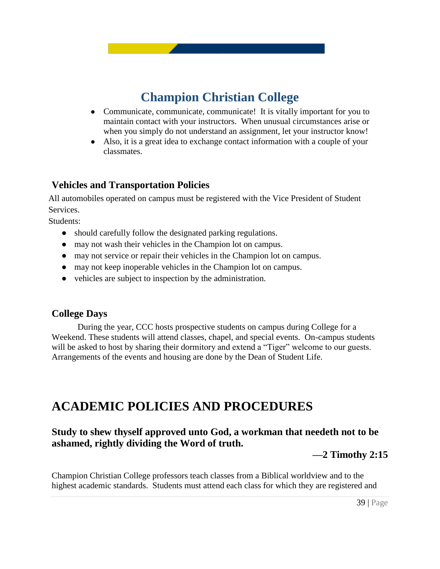- Communicate, communicate, communicate! It is vitally important for you to maintain contact with your instructors. When unusual circumstances arise or when you simply do not understand an assignment, let your instructor know!
- Also, it is a great idea to exchange contact information with a couple of your classmates.

### **Vehicles and Transportation Policies**

All automobiles operated on campus must be registered with the Vice President of Student Services.

Students:

- should carefully follow the designated parking regulations.
- may not wash their vehicles in the Champion lot on campus.
- may not service or repair their vehicles in the Champion lot on campus.
- may not keep inoperable vehicles in the Champion lot on campus.
- vehicles are subject to inspection by the administration.

#### **College Days**

During the year, CCC hosts prospective students on campus during College for a Weekend. These students will attend classes, chapel, and special events. On-campus students will be asked to host by sharing their dormitory and extend a "Tiger" welcome to our guests. Arrangements of the events and housing are done by the Dean of Student Life.

### **ACADEMIC POLICIES AND PROCEDURES**

### **Study to shew thyself approved unto God, a workman that needeth not to be ashamed, rightly dividing the Word of truth.**

**—2 Timothy 2:15**

Champion Christian College professors teach classes from a Biblical worldview and to the highest academic standards. Students must attend each class for which they are registered and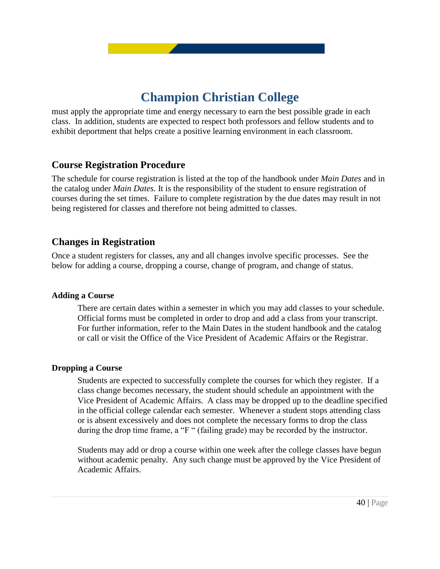must apply the appropriate time and energy necessary to earn the best possible grade in each class. In addition, students are expected to respect both professors and fellow students and to exhibit deportment that helps create a positive learning environment in each classroom.

### **Course Registration Procedure**

The schedule for course registration is listed at the top of the handbook under *Main Dates* and in the catalog under *Main Dates.* It is the responsibility of the student to ensure registration of courses during the set times. Failure to complete registration by the due dates may result in not being registered for classes and therefore not being admitted to classes.

### **Changes in Registration**

Once a student registers for classes, any and all changes involve specific processes. See the below for adding a course, dropping a course, change of program, and change of status.

#### **Adding a Course**

There are certain dates within a semester in which you may add classes to your schedule. Official forms must be completed in order to drop and add a class from your transcript. For further information, refer to the Main Dates in the student handbook and the catalog or call or visit the Office of the Vice President of Academic Affairs or the Registrar.

#### **Dropping a Course**

Students are expected to successfully complete the courses for which they register. If a class change becomes necessary, the student should schedule an appointment with the Vice President of Academic Affairs. A class may be dropped up to the deadline specified in the official college calendar each semester. Whenever a student stops attending class or is absent excessively and does not complete the necessary forms to drop the class during the drop time frame, a "F" (failing grade) may be recorded by the instructor.

Students may add or drop a course within one week after the college classes have begun without academic penalty. Any such change must be approved by the Vice President of Academic Affairs.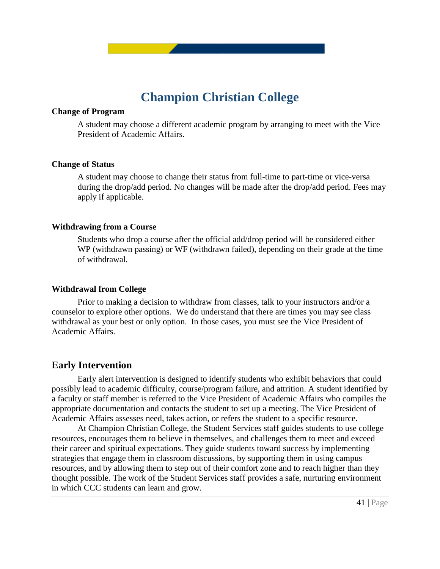#### **Change of Program**

A student may choose a different academic program by arranging to meet with the Vice President of Academic Affairs.

#### **Change of Status**

A student may choose to change their status from full-time to part-time or vice-versa during the drop/add period. No changes will be made after the drop/add period. Fees may apply if applicable.

#### **Withdrawing from a Course**

Students who drop a course after the official add/drop period will be considered either WP (withdrawn passing) or WF (withdrawn failed), depending on their grade at the time of withdrawal.

#### **Withdrawal from College**

Prior to making a decision to withdraw from classes, talk to your instructors and/or a counselor to explore other options. We do understand that there are times you may see class withdrawal as your best or only option. In those cases, you must see the Vice President of Academic Affairs.

#### **Early Intervention**

Early alert intervention is designed to identify students who exhibit behaviors that could possibly lead to academic difficulty, course/program failure, and attrition. A student identified by a faculty or staff member is referred to the Vice President of Academic Affairs who compiles the appropriate documentation and contacts the student to set up a meeting. The Vice President of Academic Affairs assesses need, takes action, or refers the student to a specific resource.

At Champion Christian College, the Student Services staff guides students to use college resources, encourages them to believe in themselves, and challenges them to meet and exceed their career and spiritual expectations. They guide students toward success by implementing strategies that engage them in classroom discussions, by supporting them in using campus resources, and by allowing them to step out of their comfort zone and to reach higher than they thought possible. The work of the Student Services staff provides a safe, nurturing environment in which CCC students can learn and grow.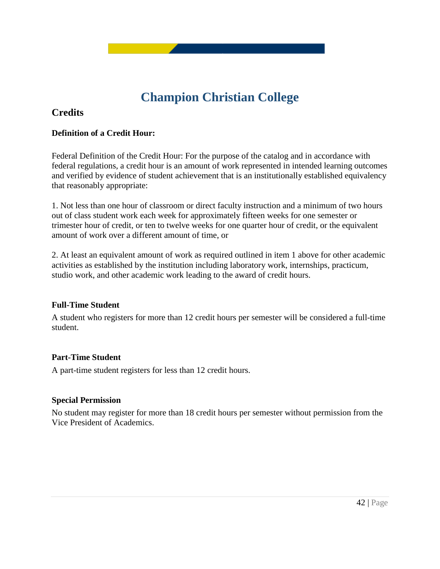### **Credits**

#### **Definition of a Credit Hour:**

Federal Definition of the Credit Hour: For the purpose of the catalog and in accordance with federal regulations, a credit hour is an amount of work represented in intended learning outcomes and verified by evidence of student achievement that is an institutionally established equivalency that reasonably appropriate:

1. Not less than one hour of classroom or direct faculty instruction and a minimum of two hours out of class student work each week for approximately fifteen weeks for one semester or trimester hour of credit, or ten to twelve weeks for one quarter hour of credit, or the equivalent amount of work over a different amount of time, or

2. At least an equivalent amount of work as required outlined in item 1 above for other academic activities as established by the institution including laboratory work, internships, practicum, studio work, and other academic work leading to the award of credit hours.

#### **Full-Time Student**

A student who registers for more than 12 credit hours per semester will be considered a full-time student.

#### **Part-Time Student**

A part-time student registers for less than 12 credit hours.

#### **Special Permission**

No student may register for more than 18 credit hours per semester without permission from the Vice President of Academics.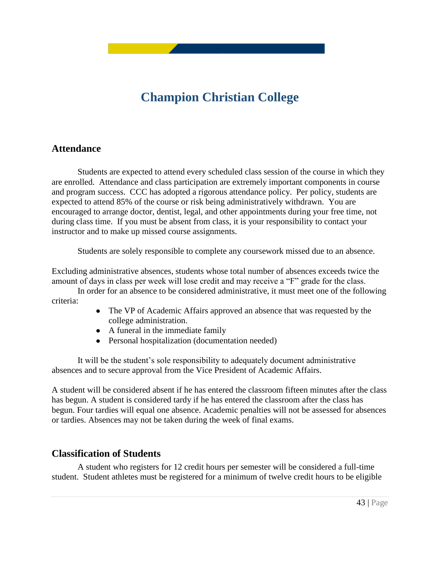### **Attendance**

Students are expected to attend every scheduled class session of the course in which they are enrolled. Attendance and class participation are extremely important components in course and program success. CCC has adopted a rigorous attendance policy. Per policy, students are expected to attend 85% of the course or risk being administratively withdrawn. You are encouraged to arrange doctor, dentist, legal, and other appointments during your free time, not during class time. If you must be absent from class, it is your responsibility to contact your instructor and to make up missed course assignments.

Students are solely responsible to complete any coursework missed due to an absence.

Excluding administrative absences, students whose total number of absences exceeds twice the amount of days in class per week will lose credit and may receive a "F" grade for the class.

In order for an absence to be considered administrative, it must meet one of the following criteria:

- The VP of Academic Affairs approved an absence that was requested by the college administration.
- A funeral in the immediate family
- Personal hospitalization (documentation needed)

It will be the student's sole responsibility to adequately document administrative absences and to secure approval from the Vice President of Academic Affairs.

A student will be considered absent if he has entered the classroom fifteen minutes after the class has begun. A student is considered tardy if he has entered the classroom after the class has begun. Four tardies will equal one absence. Academic penalties will not be assessed for absences or tardies. Absences may not be taken during the week of final exams.

### **Classification of Students**

A student who registers for 12 credit hours per semester will be considered a full-time student. Student athletes must be registered for a minimum of twelve credit hours to be eligible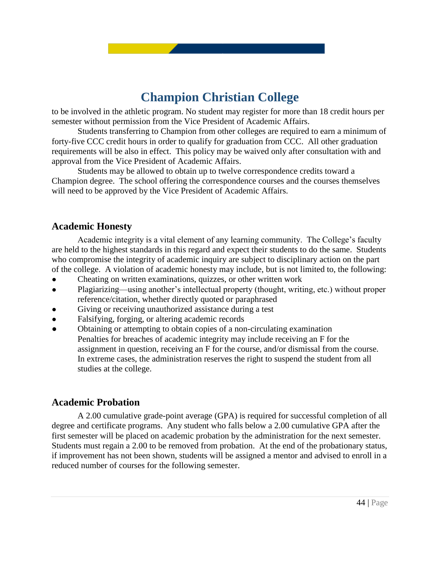to be involved in the athletic program. No student may register for more than 18 credit hours per semester without permission from the Vice President of Academic Affairs.

Students transferring to Champion from other colleges are required to earn a minimum of forty-five CCC credit hours in order to qualify for graduation from CCC. All other graduation requirements will be also in effect. This policy may be waived only after consultation with and approval from the Vice President of Academic Affairs.

Students may be allowed to obtain up to twelve correspondence credits toward a Champion degree. The school offering the correspondence courses and the courses themselves will need to be approved by the Vice President of Academic Affairs.

#### **Academic Honesty**

 Academic integrity is a vital element of any learning community. The College's faculty are held to the highest standards in this regard and expect their students to do the same. Students who compromise the integrity of academic inquiry are subject to disciplinary action on the part of the college. A violation of academic honesty may include, but is not limited to, the following:

- Cheating on written examinations, quizzes, or other written work
- Plagiarizing—using another's intellectual property (thought, writing, etc.) without proper reference/citation, whether directly quoted or paraphrased
- Giving or receiving unauthorized assistance during a test
- Falsifying, forging, or altering academic records
- Obtaining or attempting to obtain copies of a non-circulating examination Penalties for breaches of academic integrity may include receiving an F for the assignment in question, receiving an F for the course, and/or dismissal from the course. In extreme cases, the administration reserves the right to suspend the student from all studies at the college.

### **Academic Probation**

A 2.00 cumulative grade-point average (GPA) is required for successful completion of all degree and certificate programs. Any student who falls below a 2.00 cumulative GPA after the first semester will be placed on academic probation by the administration for the next semester. Students must regain a 2.00 to be removed from probation. At the end of the probationary status, if improvement has not been shown, students will be assigned a mentor and advised to enroll in a reduced number of courses for the following semester.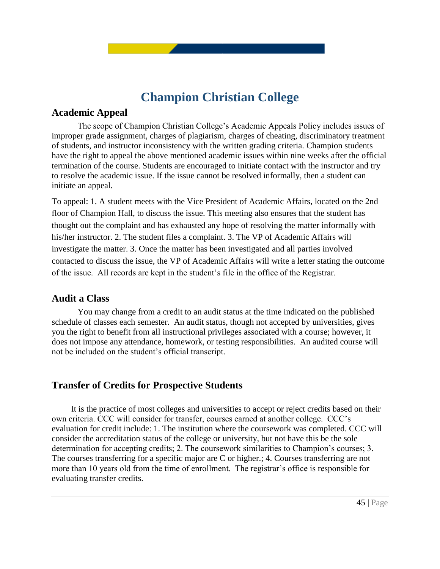### **Academic Appeal**

The scope of Champion Christian College's Academic Appeals Policy includes issues of improper grade assignment, charges of plagiarism, charges of cheating, discriminatory treatment of students, and instructor inconsistency with the written grading criteria. Champion students have the right to appeal the above mentioned academic issues within nine weeks after the official termination of the course. Students are encouraged to initiate contact with the instructor and try to resolve the academic issue. If the issue cannot be resolved informally, then a student can initiate an appeal.

To appeal: 1. A student meets with the Vice President of Academic Affairs, located on the 2nd floor of Champion Hall, to discuss the issue. This meeting also ensures that the student has thought out the complaint and has exhausted any hope of resolving the matter informally with his/her instructor. 2. The student files a complaint. 3. The VP of Academic Affairs will investigate the matter. 3. Once the matter has been investigated and all parties involved contacted to discuss the issue, the VP of Academic Affairs will write a letter stating the outcome of the issue. All records are kept in the student's file in the office of the Registrar.

#### **Audit a Class**

You may change from a credit to an audit status at the time indicated on the published schedule of classes each semester. An audit status, though not accepted by universities, gives you the right to benefit from all instructional privileges associated with a course; however, it does not impose any attendance, homework, or testing responsibilities. An audited course will not be included on the student's official transcript.

### **Transfer of Credits for Prospective Students**

It is the practice of most colleges and universities to accept or reject credits based on their own criteria. CCC will consider for transfer, courses earned at another college. CCC's evaluation for credit include: 1. The institution where the coursework was completed. CCC will consider the accreditation status of the college or university, but not have this be the sole determination for accepting credits; 2. The coursework similarities to Champion's courses; 3. The courses transferring for a specific major are C or higher.; 4. Courses transferring are not more than 10 years old from the time of enrollment. The registrar's office is responsible for evaluating transfer credits.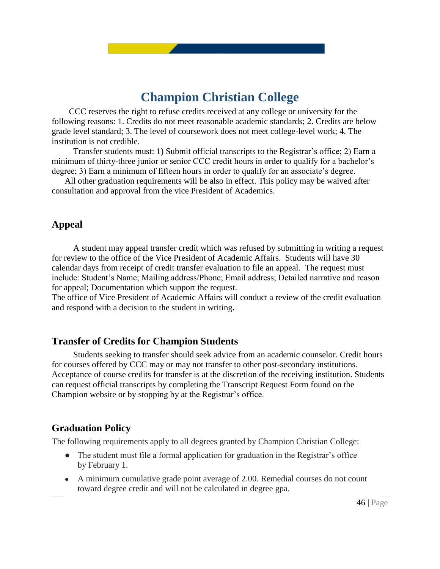CCC reserves the right to refuse credits received at any college or university for the following reasons: 1. Credits do not meet reasonable academic standards; 2. Credits are below grade level standard; 3. The level of coursework does not meet college-level work; 4. The institution is not credible.

 Transfer students must: 1) Submit official transcripts to the Registrar's office; 2) Earn a minimum of thirty-three junior or senior CCC credit hours in order to qualify for a bachelor's degree; 3) Earn a minimum of fifteen hours in order to qualify for an associate's degree.

All other graduation requirements will be also in effect. This policy may be waived after consultation and approval from the vice President of Academics.

### **Appeal**

A student may appeal transfer credit which was refused by submitting in writing a request for review to the office of the Vice President of Academic Affairs. Students will have 30 calendar days from receipt of credit transfer evaluation to file an appeal. The request must include: Student's Name; Mailing address/Phone; Email address; Detailed narrative and reason for appeal; Documentation which support the request.

The office of Vice President of Academic Affairs will conduct a review of the credit evaluation and respond with a decision to the student in writing**.** 

### **Transfer of Credits for Champion Students**

 Students seeking to transfer should seek advice from an academic counselor. Credit hours for courses offered by CCC may or may not transfer to other post-secondary institutions. Acceptance of course credits for transfer is at the discretion of the receiving institution. Students can request official transcripts by completing the Transcript Request Form found on the Champion website or by stopping by at the Registrar's office.

### **Graduation Policy**

The following requirements apply to all degrees granted by Champion Christian College:

- The student must file a formal application for graduation in the Registrar's office by February 1.
- A minimum cumulative grade point average of 2.00. Remedial courses do not count toward degree credit and will not be calculated in degree gpa.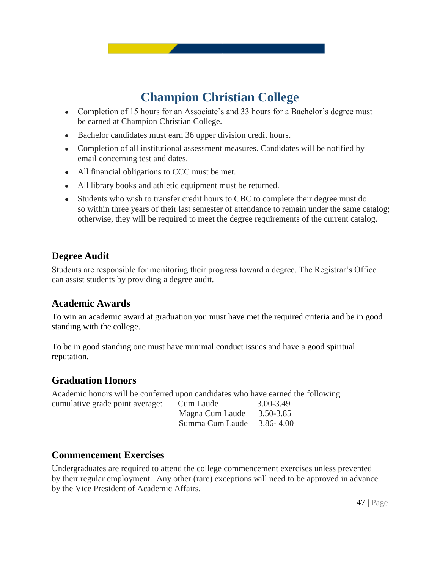- Completion of 15 hours for an Associate's and 33 hours for a Bachelor's degree must be earned at Champion Christian College.
- Bachelor candidates must earn 36 upper division credit hours.
- Completion of all institutional assessment measures. Candidates will be notified by email concerning test and dates.
- All financial obligations to CCC must be met.
- All library books and athletic equipment must be returned.
- Students who wish to transfer credit hours to CBC to complete their degree must do so within three years of their last semester of attendance to remain under the same catalog; otherwise, they will be required to meet the degree requirements of the current catalog.

### **Degree Audit**

Students are responsible for monitoring their progress toward a degree. The Registrar's Office can assist students by providing a degree audit.

### **Academic Awards**

To win an academic award at graduation you must have met the required criteria and be in good standing with the college.

To be in good standing one must have minimal conduct issues and have a good spiritual reputation.

### **Graduation Honors**

Academic honors will be conferred upon candidates who have earned the following cumulative grade point average:

| cumulative grade point average: | Cum Laude       | 3.00-3.49 |
|---------------------------------|-----------------|-----------|
|                                 | Magna Cum Laude | 3.50-3.85 |
|                                 | Summa Cum Laude | 3.86-4.00 |

### **Commencement Exercises**

Undergraduates are required to attend the college commencement exercises unless prevented by their regular employment. Any other (rare) exceptions will need to be approved in advance by the Vice President of Academic Affairs.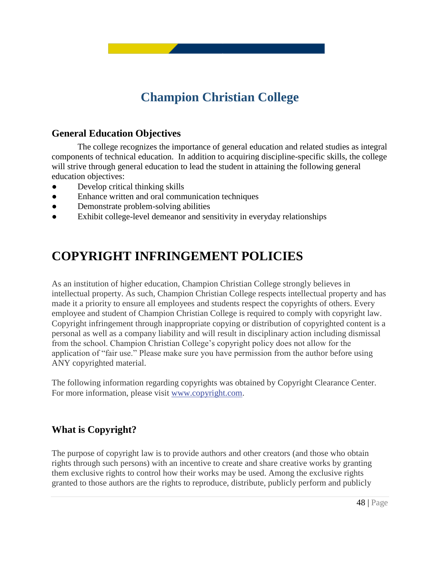### **General Education Objectives**

 The college recognizes the importance of general education and related studies as integral components of technical education. In addition to acquiring discipline-specific skills, the college will strive through general education to lead the student in attaining the following general education objectives:

- Develop critical thinking skills
- Enhance written and oral communication techniques
- Demonstrate problem-solving abilities
- Exhibit college-level demeanor and sensitivity in everyday relationships

## **COPYRIGHT INFRINGEMENT POLICIES**

As an institution of higher education, Champion Christian College strongly believes in intellectual property. As such, Champion Christian College respects intellectual property and has made it a priority to ensure all employees and students respect the copyrights of others. Every employee and student of Champion Christian College is required to comply with copyright law. Copyright infringement through inappropriate copying or distribution of copyrighted content is a personal as well as a company liability and will result in disciplinary action including dismissal from the school. Champion Christian College's copyright policy does not allow for the application of "fair use." Please make sure you have permission from the author before using ANY copyrighted material.

The following information regarding copyrights was obtained by Copyright Clearance Center. For more information, please visit [www.copyright.com.](http://www.copyright.com/)

### **What is Copyright?**

The purpose of copyright law is to provide authors and other creators (and those who obtain rights through such persons) with an incentive to create and share creative works by granting them exclusive rights to control how their works may be used. Among the exclusive rights granted to those authors are the rights to reproduce, distribute, publicly perform and publicly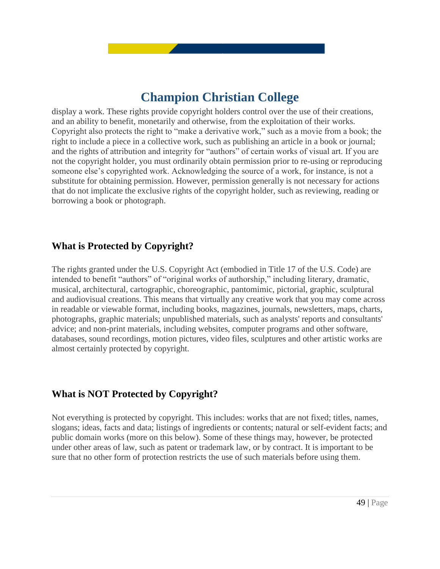display a work. These rights provide copyright holders control over the use of their creations, and an ability to benefit, monetarily and otherwise, from the exploitation of their works. Copyright also protects the right to "make a derivative work," such as a movie from a book; the right to include a piece in a collective work, such as publishing an article in a book or journal; and the rights of attribution and integrity for "authors" of certain works of visual art. If you are not the copyright holder, you must ordinarily obtain permission prior to re-using or reproducing someone else's copyrighted work. Acknowledging the source of a work, for instance, is not a substitute for obtaining permission. However, permission generally is not necessary for actions that do not implicate the exclusive rights of the copyright holder, such as reviewing, reading or borrowing a book or photograph.

### **What is Protected by Copyright?**

The rights granted under the U.S. Copyright Act (embodied in Title 17 of the U.S. Code) are intended to benefit "authors" of "original works of authorship," including literary, dramatic, musical, architectural, cartographic, choreographic, pantomimic, pictorial, graphic, sculptural and audiovisual creations. This means that virtually any creative work that you may come across in readable or viewable format, including books, magazines, journals, newsletters, maps, charts, photographs, graphic materials; unpublished materials, such as analysts' reports and consultants' advice; and non‐print materials, including websites, computer programs and other software, databases, sound recordings, motion pictures, video files, sculptures and other artistic works are almost certainly protected by copyright.

### **What is NOT Protected by Copyright?**

Not everything is protected by copyright. This includes: works that are not fixed; titles, names, slogans; ideas, facts and data; listings of ingredients or contents; natural or self‐evident facts; and public domain works (more on this below). Some of these things may, however, be protected under other areas of law, such as patent or trademark law, or by contract. It is important to be sure that no other form of protection restricts the use of such materials before using them.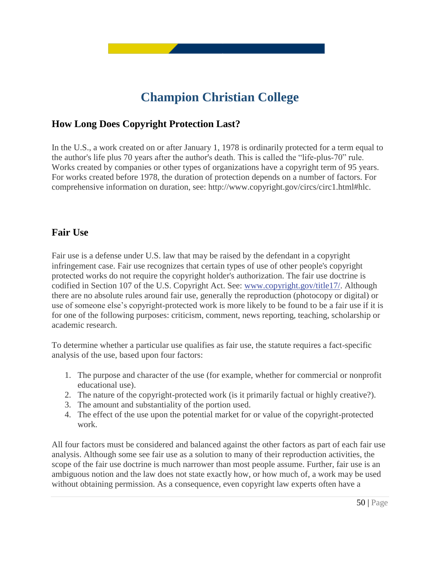### **How Long Does Copyright Protection Last?**

In the U.S., a work created on or after January 1, 1978 is ordinarily protected for a term equal to the author's life plus 70 years after the author's death. This is called the "life‐plus‐70" rule. Works created by companies or other types of organizations have a copyright term of 95 years. For works created before 1978, the duration of protection depends on a number of factors. For comprehensive information on duration, see: http://www.copyright.gov/circs/circ1.html#hlc.

### **Fair Use**

Fair use is a defense under U.S. law that may be raised by the defendant in a copyright infringement case. Fair use recognizes that certain types of use of other people's copyright protected works do not require the copyright holder's authorization. The fair use doctrine is codified in Section 107 of the U.S. Copyright Act. See: [www.copyright.gov/title17/.](http://www.copyright.gov/title17/) Although there are no absolute rules around fair use, generally the reproduction (photocopy or digital) or use of someone else's copyright-protected work is more likely to be found to be a fair use if it is for one of the following purposes: criticism, comment, news reporting, teaching, scholarship or academic research.

To determine whether a particular use qualifies as fair use, the statute requires a fact-specific analysis of the use, based upon four factors:

- 1. The purpose and character of the use (for example, whether for commercial or nonprofit educational use).
- 2. The nature of the copyright‐protected work (is it primarily factual or highly creative?).
- 3. The amount and substantiality of the portion used.
- 4. The effect of the use upon the potential market for or value of the copyright-protected work.

All four factors must be considered and balanced against the other factors as part of each fair use analysis. Although some see fair use as a solution to many of their reproduction activities, the scope of the fair use doctrine is much narrower than most people assume. Further, fair use is an ambiguous notion and the law does not state exactly how, or how much of, a work may be used without obtaining permission. As a consequence, even copyright law experts often have a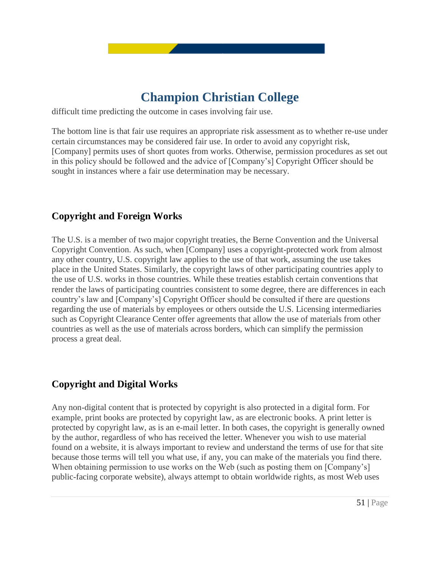

difficult time predicting the outcome in cases involving fair use.

The bottom line is that fair use requires an appropriate risk assessment as to whether re-use under certain circumstances may be considered fair use. In order to avoid any copyright risk, [Company] permits uses of short quotes from works. Otherwise, permission procedures as set out in this policy should be followed and the advice of [Company's] Copyright Officer should be sought in instances where a fair use determination may be necessary.

### **Copyright and Foreign Works**

The U.S. is a member of two major copyright treaties, the Berne Convention and the Universal Copyright Convention. As such, when [Company] uses a copyright‐protected work from almost any other country, U.S. copyright law applies to the use of that work, assuming the use takes place in the United States. Similarly, the copyright laws of other participating countries apply to the use of U.S. works in those countries. While these treaties establish certain conventions that render the laws of participating countries consistent to some degree, there are differences in each country's law and [Company's] Copyright Officer should be consulted if there are questions regarding the use of materials by employees or others outside the U.S. Licensing intermediaries such as Copyright Clearance Center offer agreements that allow the use of materials from other countries as well as the use of materials across borders, which can simplify the permission process a great deal.

### **Copyright and Digital Works**

Any non-digital content that is protected by copyright is also protected in a digital form. For example, print books are protected by copyright law, as are electronic books. A print letter is protected by copyright law, as is an e‐mail letter. In both cases, the copyright is generally owned by the author, regardless of who has received the letter. Whenever you wish to use material found on a website, it is always important to review and understand the terms of use for that site because those terms will tell you what use, if any, you can make of the materials you find there. When obtaining permission to use works on the Web (such as posting them on [Company's] public‐facing corporate website), always attempt to obtain worldwide rights, as most Web uses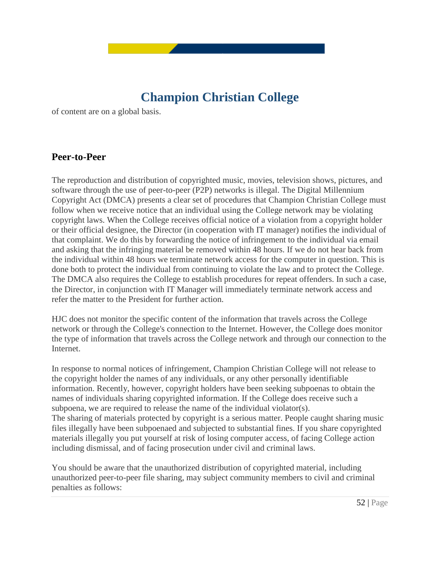of content are on a global basis.

#### **Peer-to-Peer**

The reproduction and distribution of copyrighted music, movies, television shows, pictures, and software through the use of peer-to-peer (P2P) networks is illegal. The Digital Millennium Copyright Act (DMCA) presents a clear set of procedures that Champion Christian College must follow when we receive notice that an individual using the College network may be violating copyright laws. When the College receives official notice of a violation from a copyright holder or their official designee, the Director (in cooperation with IT manager) notifies the individual of that complaint. We do this by forwarding the notice of infringement to the individual via email and asking that the infringing material be removed within 48 hours. If we do not hear back from the individual within 48 hours we terminate network access for the computer in question. This is done both to protect the individual from continuing to violate the law and to protect the College. The DMCA also requires the College to establish procedures for repeat offenders. In such a case, the Director, in conjunction with IT Manager will immediately terminate network access and refer the matter to the President for further action.

HJC does not monitor the specific content of the information that travels across the College network or through the College's connection to the Internet. However, the College does monitor the type of information that travels across the College network and through our connection to the Internet.

In response to normal notices of infringement, Champion Christian College will not release to the copyright holder the names of any individuals, or any other personally identifiable information. Recently, however, copyright holders have been seeking subpoenas to obtain the names of individuals sharing copyrighted information. If the College does receive such a subpoena, we are required to release the name of the individual violator(s). The sharing of materials protected by copyright is a serious matter. People caught sharing music files illegally have been subpoenaed and subjected to substantial fines. If you share copyrighted materials illegally you put yourself at risk of losing computer access, of facing College action including dismissal, and of facing prosecution under civil and criminal laws.

You should be aware that the unauthorized distribution of copyrighted material, including unauthorized peer-to-peer file sharing, may subject community members to civil and criminal penalties as follows: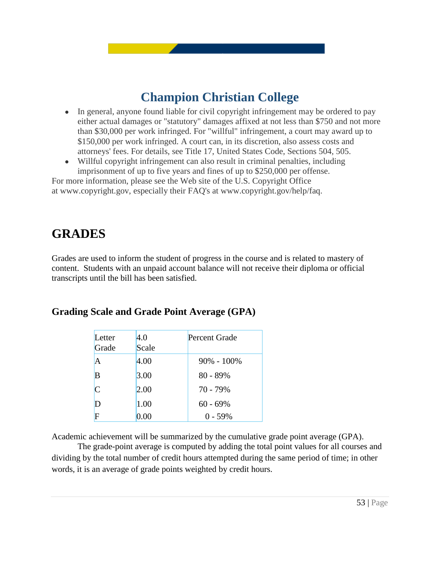- In general, anyone found liable for civil copyright infringement may be ordered to pay either actual damages or "statutory" damages affixed at not less than \$750 and not more than \$30,000 per work infringed. For "willful" infringement, a court may award up to \$150,000 per work infringed. A court can, in its discretion, also assess costs and attorneys' fees. For details, see Title 17, United States Code, Sections 504, 505.
- Willful copyright infringement can also result in criminal penalties, including imprisonment of up to five years and fines of up to \$250,000 per offense.

For more information, please see the Web site of the U.S. Copyright Office at www.copyright.gov, especially their FAQ's at www.copyright.gov/help/faq.

## **GRADES**

Grades are used to inform the student of progress in the course and is related to mastery of content. Students with an unpaid account balance will not receive their diploma or official transcripts until the bill has been satisfied.

| Letter<br>Grade | 4.0<br>Scale | <b>Percent Grade</b> |
|-----------------|--------------|----------------------|
| A               | 4.00         | $90\% - 100\%$       |
| B               | 3.00         | 80 - 89%             |
| $\overline{C}$  | 2.00         | 70 - 79%             |
| D               | 1.00         | $60 - 69%$           |
|                 | $0.00\,$     | $0 - 59%$            |

### **Grading Scale and Grade Point Average (GPA)**

Academic achievement will be summarized by the cumulative grade point average (GPA).

The grade-point average is computed by adding the total point values for all courses and dividing by the total number of credit hours attempted during the same period of time; in other words, it is an average of grade points weighted by credit hours.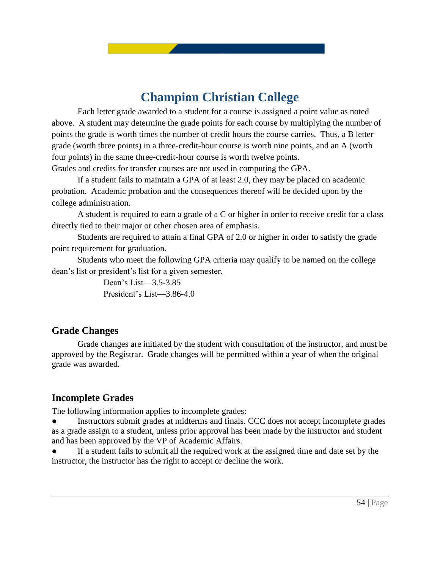Each letter grade awarded to a student for a course is assigned a point value as noted above. A student may determine the grade points for each course by multiplying the number of points the grade is worth times the number of credit hours the course carries. Thus, a B letter grade (worth three points) in a three-credit-hour course is worth nine points, and an A (worth four points) in the same three-credit-hour course is worth twelve points. Grades and credits for transfer courses are not used in computing the GPA.

If a student fails to maintain a GPA of at least 2.0, they may be placed on academic probation. Academic probation and the consequences thereof will be decided upon by the college administration.

A student is required to earn a grade of a C or higher in order to receive credit for a class directly tied to their major or other chosen area of emphasis.

Students are required to attain a final GPA of 2.0 or higher in order to satisfy the grade point requirement for graduation.

Students who meet the following GPA criteria may qualify to be named on the college dean's list or president's list for a given semester.

> Dean's List—3.5-3.85 President's List—3.86-4.0

### **Grade Changes**

Grade changes are initiated by the student with consultation of the instructor, and must be approved by the Registrar. Grade changes will be permitted within a year of when the original grade was awarded.

### **Incomplete Grades**

The following information applies to incomplete grades:

Instructors submit grades at midterms and finals. CCC does not accept incomplete grades as a grade assign to a student, unless prior approval has been made by the instructor and student and has been approved by the VP of Academic Affairs.

If a student fails to submit all the required work at the assigned time and date set by the instructor, the instructor has the right to accept or decline the work.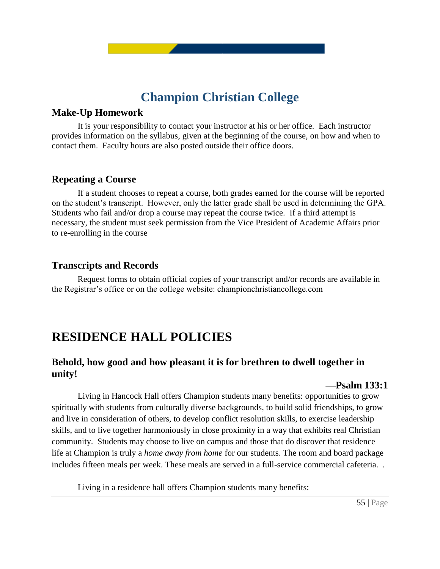#### **Make-Up Homework**

 It is your responsibility to contact your instructor at his or her office. Each instructor provides information on the syllabus, given at the beginning of the course, on how and when to contact them. Faculty hours are also posted outside their office doors.

#### **Repeating a Course**

 If a student chooses to repeat a course, both grades earned for the course will be reported on the student's transcript. However, only the latter grade shall be used in determining the GPA. Students who fail and/or drop a course may repeat the course twice. If a third attempt is necessary, the student must seek permission from the Vice President of Academic Affairs prior to re-enrolling in the course

#### **Transcripts and Records**

 Request forms to obtain official copies of your transcript and/or records are available in the Registrar's office or on the college website: championchristiancollege.com

### **RESIDENCE HALL POLICIES**

### **Behold, how good and how pleasant it is for brethren to dwell together in unity!**

#### **—Psalm 133:1**

 Living in Hancock Hall offers Champion students many benefits: opportunities to grow spiritually with students from culturally diverse backgrounds, to build solid friendships, to grow and live in consideration of others, to develop conflict resolution skills, to exercise leadership skills, and to live together harmoniously in close proximity in a way that exhibits real Christian community. Students may choose to live on campus and those that do discover that residence life at Champion is truly a *home away from home* for our students. The room and board package includes fifteen meals per week. These meals are served in a full-service commercial cafeteria. .

Living in a residence hall offers Champion students many benefits: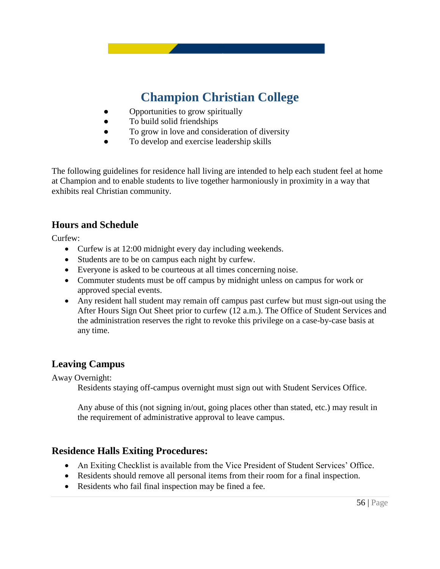- Opportunities to grow spiritually
- To build solid friendships
- To grow in love and consideration of diversity
- To develop and exercise leadership skills

The following guidelines for residence hall living are intended to help each student feel at home at Champion and to enable students to live together harmoniously in proximity in a way that exhibits real Christian community.

### **Hours and Schedule**

Curfew:

- Curfew is at 12:00 midnight every day including weekends.
- Students are to be on campus each night by curfew.
- Everyone is asked to be courteous at all times concerning noise.
- Commuter students must be off campus by midnight unless on campus for work or approved special events.
- Any resident hall student may remain off campus past curfew but must sign-out using the After Hours Sign Out Sheet prior to curfew (12 a.m.). The Office of Student Services and the administration reserves the right to revoke this privilege on a case-by-case basis at any time.

### **Leaving Campus**

Away Overnight:

Residents staying off-campus overnight must sign out with Student Services Office.

Any abuse of this (not signing in/out, going places other than stated, etc.) may result in the requirement of administrative approval to leave campus.

### **Residence Halls Exiting Procedures:**

- An Exiting Checklist is available from the Vice President of Student Services' Office.
- Residents should remove all personal items from their room for a final inspection.
- Residents who fail final inspection may be fined a fee.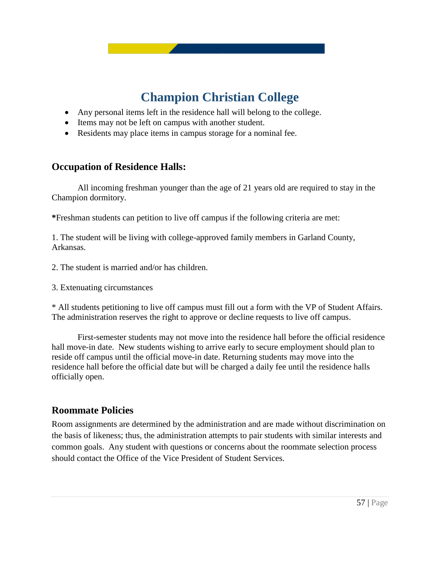- Any personal items left in the residence hall will belong to the college.
- Items may not be left on campus with another student.
- Residents may place items in campus storage for a nominal fee.

#### **Occupation of Residence Halls:**

All incoming freshman younger than the age of 21 years old are required to stay in the Champion dormitory.

**\***Freshman students can petition to live off campus if the following criteria are met:

1. The student will be living with college-approved family members in Garland County, Arkansas.

- 2. The student is married and/or has children.
- 3. Extenuating circumstances

\* All students petitioning to live off campus must fill out a form with the VP of Student Affairs. The administration reserves the right to approve or decline requests to live off campus.

First-semester students may not move into the residence hall before the official residence hall move-in date. New students wishing to arrive early to secure employment should plan to reside off campus until the official move-in date. Returning students may move into the residence hall before the official date but will be charged a daily fee until the residence halls officially open.

### **Roommate Policies**

Room assignments are determined by the administration and are made without discrimination on the basis of likeness; thus, the administration attempts to pair students with similar interests and common goals. Any student with questions or concerns about the roommate selection process should contact the Office of the Vice President of Student Services.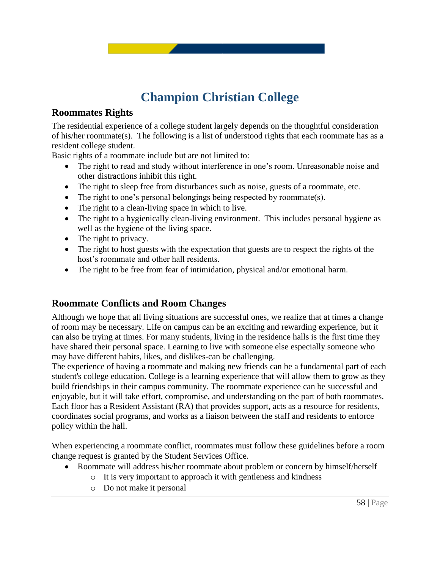

### **Roommates Rights**

The residential experience of a college student largely depends on the thoughtful consideration of his/her roommate(s). The following is a list of understood rights that each roommate has as a resident college student.

Basic rights of a roommate include but are not limited to:

- The right to read and study without interference in one's room. Unreasonable noise and other distractions inhibit this right.
- The right to sleep free from disturbances such as noise, guests of a roommate, etc.
- The right to one's personal belongings being respected by roommate(s).
- The right to a clean-living space in which to live.
- The right to a hygienically clean-living environment. This includes personal hygiene as well as the hygiene of the living space.
- The right to privacy.
- The right to host guests with the expectation that guests are to respect the rights of the host's roommate and other hall residents.
- The right to be free from fear of intimidation, physical and/or emotional harm.

### **Roommate Conflicts and Room Changes**

Although we hope that all living situations are successful ones, we realize that at times a change of room may be necessary. Life on campus can be an exciting and rewarding experience, but it can also be trying at times. For many students, living in the residence halls is the first time they have shared their personal space. Learning to live with someone else especially someone who may have different habits, likes, and dislikes-can be challenging.

The experience of having a roommate and making new friends can be a fundamental part of each student's college education. College is a learning experience that will allow them to grow as they build friendships in their campus community. The roommate experience can be successful and enjoyable, but it will take effort, compromise, and understanding on the part of both roommates. Each floor has a Resident Assistant (RA) that provides support, acts as a resource for residents, coordinates social programs, and works as a liaison between the staff and residents to enforce policy within the hall.

When experiencing a roommate conflict, roommates must follow these guidelines before a room change request is granted by the Student Services Office.

- Roommate will address his/her roommate about problem or concern by himself/herself
	- o It is very important to approach it with gentleness and kindness
	- o Do not make it personal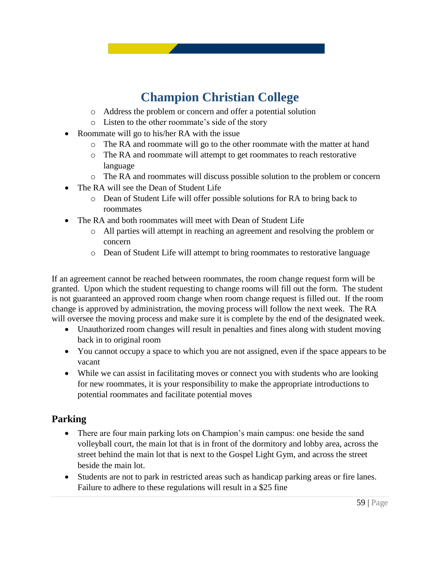- o Address the problem or concern and offer a potential solution
- o Listen to the other roommate's side of the story
- Roommate will go to his/her RA with the issue
	- o The RA and roommate will go to the other roommate with the matter at hand
	- o The RA and roommate will attempt to get roommates to reach restorative language
	- o The RA and roommates will discuss possible solution to the problem or concern
- The RA will see the Dean of Student Life
	- o Dean of Student Life will offer possible solutions for RA to bring back to roommates
- The RA and both roommates will meet with Dean of Student Life
	- o All parties will attempt in reaching an agreement and resolving the problem or concern
	- o Dean of Student Life will attempt to bring roommates to restorative language

If an agreement cannot be reached between roommates, the room change request form will be granted. Upon which the student requesting to change rooms will fill out the form. The student is not guaranteed an approved room change when room change request is filled out. If the room change is approved by administration, the moving process will follow the next week. The RA will oversee the moving process and make sure it is complete by the end of the designated week.

- Unauthorized room changes will result in penalties and fines along with student moving back in to original room
- You cannot occupy a space to which you are not assigned, even if the space appears to be vacant
- While we can assist in facilitating moves or connect you with students who are looking for new roommates, it is your responsibility to make the appropriate introductions to potential roommates and facilitate potential moves

### **Parking**

- There are four main parking lots on Champion's main campus: one beside the sand volleyball court, the main lot that is in front of the dormitory and lobby area, across the street behind the main lot that is next to the Gospel Light Gym, and across the street beside the main lot.
- Students are not to park in restricted areas such as handicap parking areas or fire lanes. Failure to adhere to these regulations will result in a \$25 fine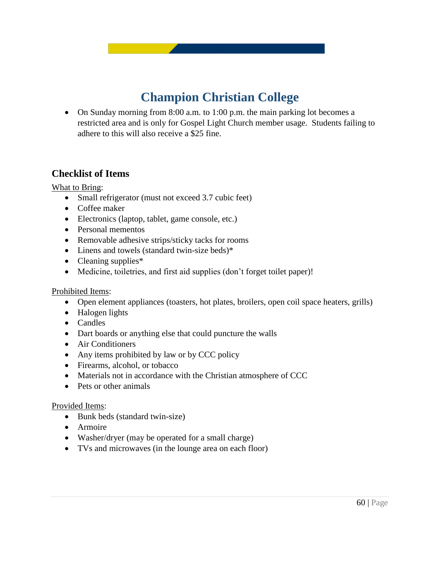• On Sunday morning from 8:00 a.m. to 1:00 p.m. the main parking lot becomes a restricted area and is only for Gospel Light Church member usage. Students failing to adhere to this will also receive a \$25 fine.

#### **Checklist of Items**

What to Bring:

- Small refrigerator (must not exceed 3.7 cubic feet)
- Coffee maker
- Electronics (laptop, tablet, game console, etc.)
- Personal mementos
- Removable adhesive strips/sticky tacks for rooms
- Linens and towels (standard twin-size beds)\*
- Cleaning supplies\*
- Medicine, toiletries, and first aid supplies (don't forget toilet paper)!

#### Prohibited Items:

- Open element appliances (toasters, hot plates, broilers, open coil space heaters, grills)
- Halogen lights
- Candles
- Dart boards or anything else that could puncture the walls
- Air Conditioners
- Any items prohibited by law or by CCC policy
- Firearms, alcohol, or tobacco
- Materials not in accordance with the Christian atmosphere of CCC
- Pets or other animals

#### Provided Items:

- Bunk beds (standard twin-size)
- Armoire
- Washer/dryer (may be operated for a small charge)
- TVs and microwaves (in the lounge area on each floor)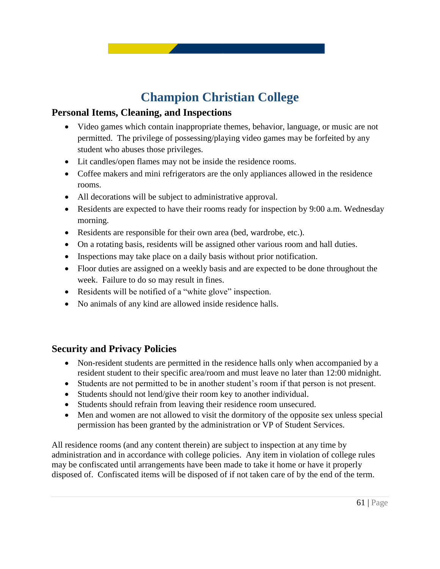### **Personal Items, Cleaning, and Inspections**

- Video games which contain inappropriate themes, behavior, language, or music are not permitted. The privilege of possessing/playing video games may be forfeited by any student who abuses those privileges.
- Lit candles/open flames may not be inside the residence rooms.
- Coffee makers and mini refrigerators are the only appliances allowed in the residence rooms.
- All decorations will be subject to administrative approval.
- Residents are expected to have their rooms ready for inspection by 9:00 a.m. Wednesday morning.
- Residents are responsible for their own area (bed, wardrobe, etc.).
- On a rotating basis, residents will be assigned other various room and hall duties.
- Inspections may take place on a daily basis without prior notification.
- Floor duties are assigned on a weekly basis and are expected to be done throughout the week. Failure to do so may result in fines.
- Residents will be notified of a "white glove" inspection.
- No animals of any kind are allowed inside residence halls.

### **Security and Privacy Policies**

- Non-resident students are permitted in the residence halls only when accompanied by a resident student to their specific area/room and must leave no later than 12:00 midnight.
- Students are not permitted to be in another student's room if that person is not present.
- Students should not lend/give their room key to another individual.
- Students should refrain from leaving their residence room unsecured.
- Men and women are not allowed to visit the dormitory of the opposite sex unless special permission has been granted by the administration or VP of Student Services.

All residence rooms (and any content therein) are subject to inspection at any time by administration and in accordance with college policies. Any item in violation of college rules may be confiscated until arrangements have been made to take it home or have it properly disposed of. Confiscated items will be disposed of if not taken care of by the end of the term.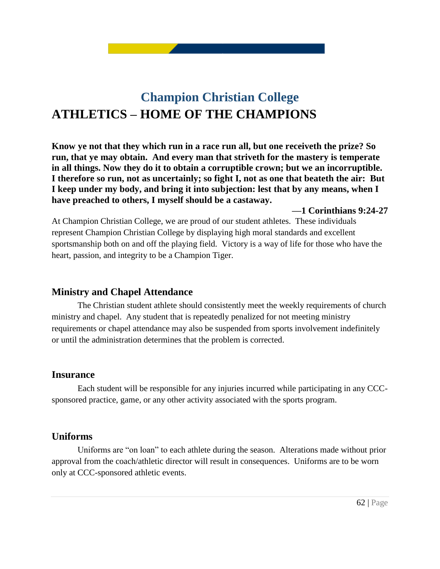# **Champion Christian College ATHLETICS – HOME OF THE CHAMPIONS**

**Know ye not that they which run in a race run all, but one receiveth the prize? So run, that ye may obtain. And every man that striveth for the mastery is temperate in all things. Now they do it to obtain a corruptible crown; but we an incorruptible. I therefore so run, not as uncertainly; so fight I, not as one that beateth the air: But I keep under my body, and bring it into subjection: lest that by any means, when I have preached to others, I myself should be a castaway.**

**—1 Corinthians 9:24-27**

At Champion Christian College, we are proud of our student athletes. These individuals represent Champion Christian College by displaying high moral standards and excellent sportsmanship both on and off the playing field. Victory is a way of life for those who have the heart, passion, and integrity to be a Champion Tiger.

### **Ministry and Chapel Attendance**

The Christian student athlete should consistently meet the weekly requirements of church ministry and chapel. Any student that is repeatedly penalized for not meeting ministry requirements or chapel attendance may also be suspended from sports involvement indefinitely or until the administration determines that the problem is corrected.

#### **Insurance**

Each student will be responsible for any injuries incurred while participating in any CCCsponsored practice, game, or any other activity associated with the sports program.

### **Uniforms**

Uniforms are "on loan" to each athlete during the season. Alterations made without prior approval from the coach/athletic director will result in consequences. Uniforms are to be worn only at CCC-sponsored athletic events.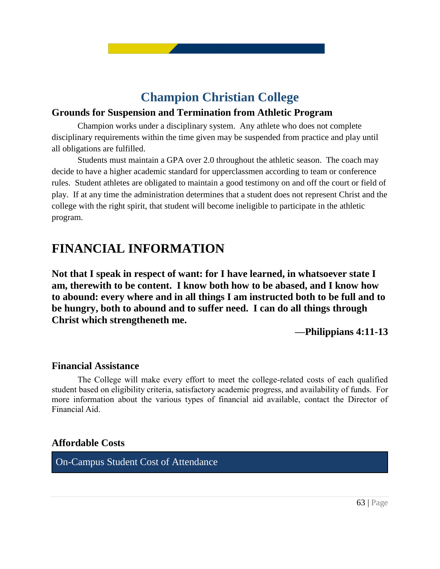#### **Grounds for Suspension and Termination from Athletic Program**

Champion works under a disciplinary system. Any athlete who does not complete disciplinary requirements within the time given may be suspended from practice and play until all obligations are fulfilled.

Students must maintain a GPA over 2.0 throughout the athletic season. The coach may decide to have a higher academic standard for upperclassmen according to team or conference rules. Student athletes are obligated to maintain a good testimony on and off the court or field of play. If at any time the administration determines that a student does not represent Christ and the college with the right spirit, that student will become ineligible to participate in the athletic program.

## **FINANCIAL INFORMATION**

**Not that I speak in respect of want: for I have learned, in whatsoever state I am, therewith to be content. I know both how to be abased, and I know how to abound: every where and in all things I am instructed both to be full and to be hungry, both to abound and to suffer need. I can do all things through Christ which strengtheneth me.**

**—Philippians 4:11-13**

### **Financial Assistance**

The College will make every effort to meet the college-related costs of each qualified student based on eligibility criteria, satisfactory academic progress, and availability of funds. For more information about the various types of financial aid available, contact the Director of Financial Aid.

### **Affordable Costs**

On-Campus Student Cost of Attendance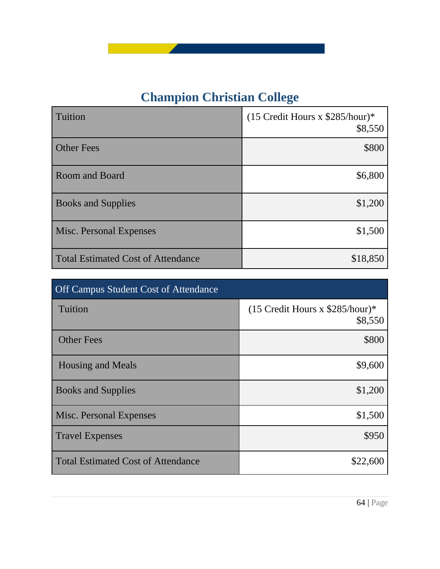<u>and the state of the state</u>

| Tuition                                   | $(15$ Credit Hours x \$285/hour)*<br>\$8,550 |
|-------------------------------------------|----------------------------------------------|
| <b>Other Fees</b>                         | \$800                                        |
| <b>Room and Board</b>                     | \$6,800                                      |
| <b>Books and Supplies</b>                 | \$1,200                                      |
| Misc. Personal Expenses                   | \$1,500                                      |
| <b>Total Estimated Cost of Attendance</b> | \$18,850                                     |

| Off Campus Student Cost of Attendance     |                                              |  |
|-------------------------------------------|----------------------------------------------|--|
| <b>Tuition</b>                            | $(15$ Credit Hours x \$285/hour)*<br>\$8,550 |  |
| <b>Other Fees</b>                         | \$800                                        |  |
| <b>Housing and Meals</b>                  | \$9,600                                      |  |
| <b>Books and Supplies</b>                 | \$1,200                                      |  |
| Misc. Personal Expenses                   | \$1,500                                      |  |
| <b>Travel Expenses</b>                    | \$950                                        |  |
| <b>Total Estimated Cost of Attendance</b> | \$22,600                                     |  |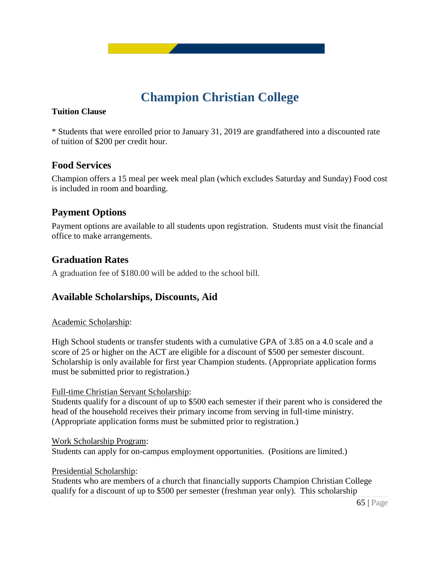#### **Tuition Clause**

\* Students that were enrolled prior to January 31, 2019 are grandfathered into a discounted rate of tuition of \$200 per credit hour.

### **Food Services**

Champion offers a 15 meal per week meal plan (which excludes Saturday and Sunday) Food cost is included in room and boarding.

### **Payment Options**

Payment options are available to all students upon registration. Students must visit the financial office to make arrangements.

### **Graduation Rates**

A graduation fee of \$180.00 will be added to the school bill.

### **Available Scholarships, Discounts, Aid**

#### Academic Scholarship:

High School students or transfer students with a cumulative GPA of 3.85 on a 4.0 scale and a score of 25 or higher on the ACT are eligible for a discount of \$500 per semester discount. Scholarship is only available for first year Champion students. (Appropriate application forms must be submitted prior to registration.)

#### Full-time Christian Servant Scholarship:

Students qualify for a discount of up to \$500 each semester if their parent who is considered the head of the household receives their primary income from serving in full-time ministry. (Appropriate application forms must be submitted prior to registration.)

#### Work Scholarship Program:

Students can apply for on-campus employment opportunities. (Positions are limited.)

#### Presidential Scholarship:

Students who are members of a church that financially supports Champion Christian College qualify for a discount of up to \$500 per semester (freshman year only). This scholarship

65 | Page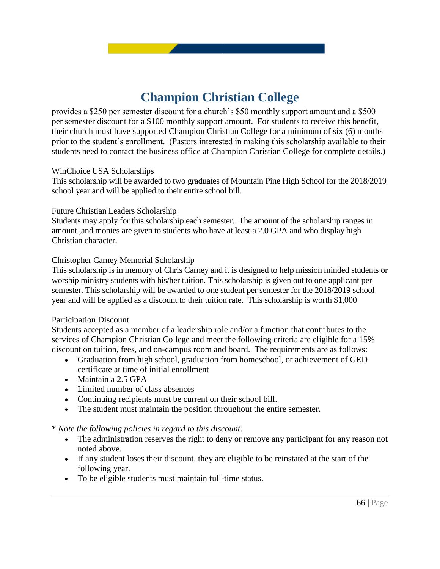provides a \$250 per semester discount for a church's \$50 monthly support amount and a \$500 per semester discount for a \$100 monthly support amount. For students to receive this benefit, their church must have supported Champion Christian College for a minimum of six (6) months prior to the student's enrollment. (Pastors interested in making this scholarship available to their students need to contact the business office at Champion Christian College for complete details.)

#### WinChoice USA Scholarships

This scholarship will be awarded to two graduates of Mountain Pine High School for the 2018/2019 school year and will be applied to their entire school bill.

#### Future Christian Leaders Scholarship

Students may apply for this scholarship each semester. The amount of the scholarship ranges in amount ,and monies are given to students who have at least a 2.0 GPA and who display high Christian character.

#### Christopher Carney Memorial Scholarship

This scholarship is in memory of Chris Carney and it is designed to help mission minded students or worship ministry students with his/her tuition. This scholarship is given out to one applicant per semester. This scholarship will be awarded to one student per semester for the 2018/2019 school year and will be applied as a discount to their tuition rate. This scholarship is worth \$1,000

#### Participation Discount

Students accepted as a member of a leadership role and/or a function that contributes to the services of Champion Christian College and meet the following criteria are eligible for a 15% discount on tuition, fees, and on-campus room and board. The requirements are as follows:

- Graduation from high school, graduation from homeschool, or achievement of GED certificate at time of initial enrollment
- Maintain a 2.5 GPA
- Limited number of class absences
- Continuing recipients must be current on their school bill.
- The student must maintain the position throughout the entire semester.

#### \* *Note the following policies in regard to this discount:*

- The administration reserves the right to deny or remove any participant for any reason not noted above.
- If any student loses their discount, they are eligible to be reinstated at the start of the following year.
- To be eligible students must maintain full-time status.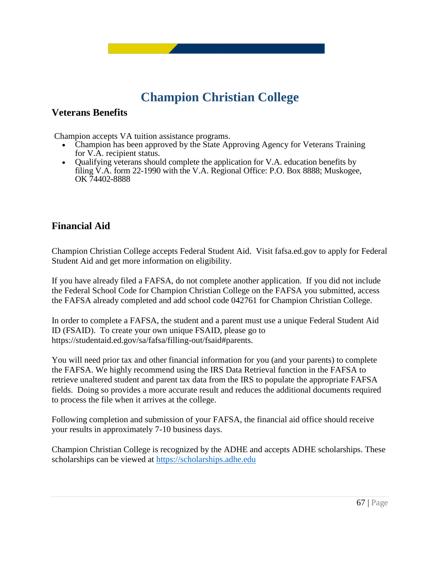### **Veterans Benefits**

Champion accepts VA tuition assistance programs.

- Champion has been approved by the State Approving Agency for Veterans Training for V.A. recipient status.
- Qualifying veterans should complete the application for V.A. education benefits by filing V.A. form 22-1990 with the V.A. Regional Office: P.O. Box 8888; Muskogee, OK 74402-8888

### **Financial Aid**

Champion Christian College accepts Federal Student Aid. Visit fafsa.ed.gov to apply for Federal Student Aid and get more information on eligibility.

If you have already filed a FAFSA, do not complete another application. If you did not include the Federal School Code for Champion Christian College on the FAFSA you submitted, access the FAFSA already completed and add school code 042761 for Champion Christian College.

In order to complete a FAFSA, the student and a parent must use a unique Federal Student Aid ID (FSAID). To create your own unique FSAID, please go to https://studentaid.ed.gov/sa/fafsa/filling-out/fsaid#parents.

You will need prior tax and other financial information for you (and your parents) to complete the FAFSA. We highly recommend using the IRS Data Retrieval function in the FAFSA to retrieve unaltered student and parent tax data from the IRS to populate the appropriate FAFSA fields. Doing so provides a more accurate result and reduces the additional documents required to process the file when it arrives at the college.

Following completion and submission of your FAFSA, the financial aid office should receive your results in approximately 7-10 business days.

Champion Christian College is recognized by the ADHE and accepts ADHE scholarships. These scholarships can be viewed at [https://scholarships.adhe.edu](https://scholarships.adhe.edu/)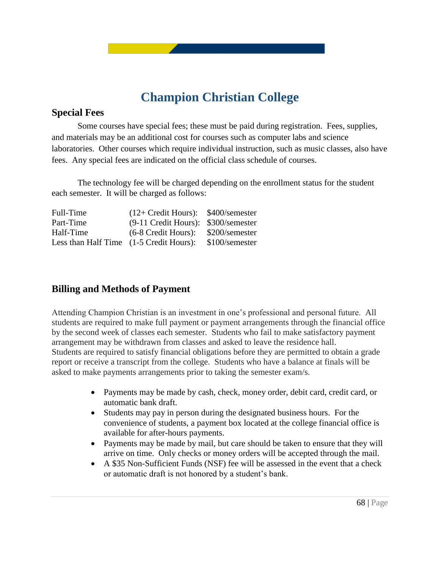### **Special Fees**

Some courses have special fees; these must be paid during registration. Fees, supplies, and materials may be an additional cost for courses such as computer labs and science laboratories. Other courses which require individual instruction, such as music classes, also have fees. Any special fees are indicated on the official class schedule of courses.

The technology fee will be charged depending on the enrollment status for the student each semester. It will be charged as follows:

| Full-Time                               | $(12 + Credit Hours):$ \$400/semester |                |
|-----------------------------------------|---------------------------------------|----------------|
| Part-Time                               | (9-11 Credit Hours): \$300/semester   |                |
| Half-Time                               | $(6-8$ Credit Hours):                 | \$200/semester |
| Less than Half Time (1-5 Credit Hours): |                                       | \$100/semester |

### **Billing and Methods of Payment**

Attending Champion Christian is an investment in one's professional and personal future. All students are required to make full payment or payment arrangements through the financial office by the second week of classes each semester. Students who fail to make satisfactory payment arrangement may be withdrawn from classes and asked to leave the residence hall. Students are required to satisfy financial obligations before they are permitted to obtain a grade report or receive a transcript from the college. Students who have a balance at finals will be asked to make payments arrangements prior to taking the semester exam/s.

- Payments may be made by cash, check, money order, debit card, credit card, or automatic bank draft.
- Students may pay in person during the designated business hours. For the convenience of students, a payment box located at the college financial office is available for after-hours payments.
- Payments may be made by mail, but care should be taken to ensure that they will arrive on time. Only checks or money orders will be accepted through the mail.
- A \$35 Non-Sufficient Funds (NSF) fee will be assessed in the event that a check or automatic draft is not honored by a student's bank.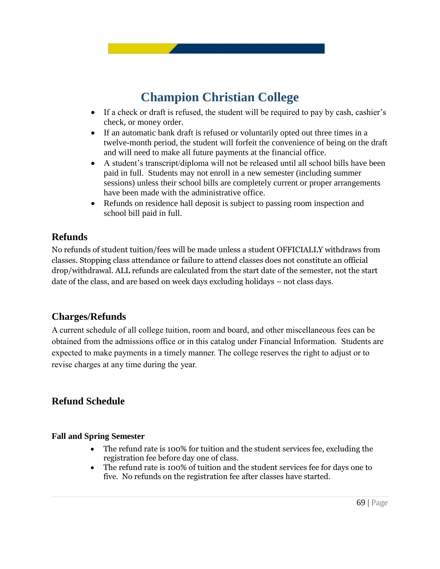- If a check or draft is refused, the student will be required to pay by cash, cashier's check, or money order.
- If an automatic bank draft is refused or voluntarily opted out three times in a twelve-month period, the student will forfeit the convenience of being on the draft and will need to make all future payments at the financial office.
- A student's transcript/diploma will not be released until all school bills have been paid in full. Students may not enroll in a new semester (including summer sessions) unless their school bills are completely current or proper arrangements have been made with the administrative office.
- Refunds on residence hall deposit is subject to passing room inspection and school bill paid in full.

### **Refunds**

No refunds of student tuition/fees will be made unless a student OFFICIALLY withdraws from classes. Stopping class attendance or failure to attend classes does not constitute an official drop/withdrawal. ALL refunds are calculated from the start date of the semester, not the start date of the class, and are based on week days excluding holidays – not class days.

### **Charges/Refunds**

A current schedule of all college tuition, room and board, and other miscellaneous fees can be obtained from the admissions office or in this catalog under Financial Information. Students are expected to make payments in a timely manner. The college reserves the right to adjust or to revise charges at any time during the year.

### **Refund Schedule**

#### **Fall and Spring Semester**

- The refund rate is 100% for tuition and the student services fee, excluding the registration fee before day one of class.
- The refund rate is 100% of tuition and the student services fee for days one to five. No refunds on the registration fee after classes have started.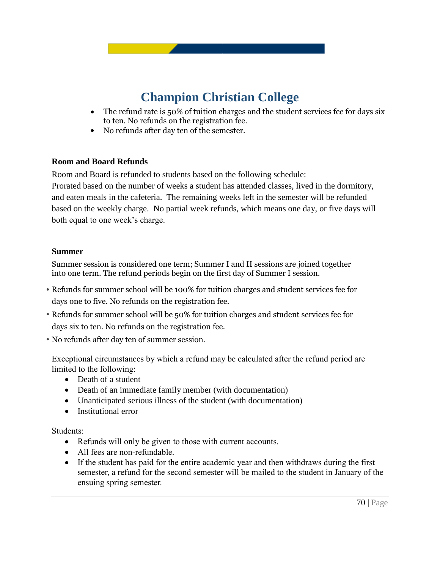- The refund rate is 50% of tuition charges and the student services fee for days six to ten. No refunds on the registration fee.
- No refunds after day ten of the semester.

#### **Room and Board Refunds**

Room and Board is refunded to students based on the following schedule:

Prorated based on the number of weeks a student has attended classes, lived in the dormitory, and eaten meals in the cafeteria. The remaining weeks left in the semester will be refunded based on the weekly charge. No partial week refunds, which means one day, or five days will both equal to one week's charge.

#### **Summer**

Summer session is considered one term; Summer I and II sessions are joined together into one term. The refund periods begin on the first day of Summer I session.

- Refunds for summer school will be 100% for tuition charges and student services fee for days one to five. No refunds on the registration fee.
- Refunds for summer school will be 50% for tuition charges and student services fee for days six to ten. No refunds on the registration fee.
- No refunds after day ten of summer session.

Exceptional circumstances by which a refund may be calculated after the refund period are limited to the following:

- Death of a student
- Death of an immediate family member (with documentation)
- Unanticipated serious illness of the student (with documentation)
- Institutional error

Students:

- Refunds will only be given to those with current accounts.
- All fees are non-refundable.
- If the student has paid for the entire academic year and then withdraws during the first semester, a refund for the second semester will be mailed to the student in January of the ensuing spring semester.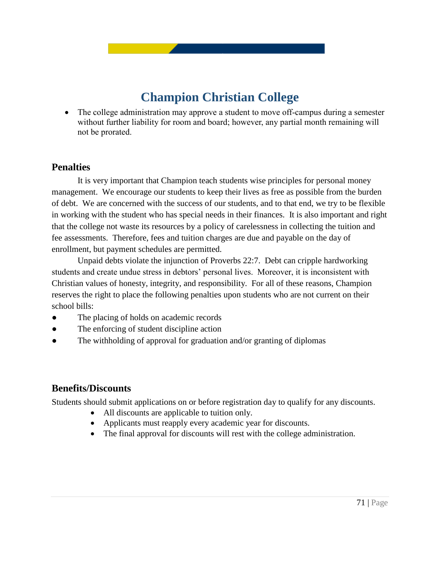• The college administration may approve a student to move off-campus during a semester without further liability for room and board; however, any partial month remaining will not be prorated.

#### **Penalties**

It is very important that Champion teach students wise principles for personal money management. We encourage our students to keep their lives as free as possible from the burden of debt. We are concerned with the success of our students, and to that end, we try to be flexible in working with the student who has special needs in their finances. It is also important and right that the college not waste its resources by a policy of carelessness in collecting the tuition and fee assessments. Therefore, fees and tuition charges are due and payable on the day of enrollment, but payment schedules are permitted.

Unpaid debts violate the injunction of Proverbs 22:7. Debt can cripple hardworking students and create undue stress in debtors' personal lives. Moreover, it is inconsistent with Christian values of honesty, integrity, and responsibility. For all of these reasons, Champion reserves the right to place the following penalties upon students who are not current on their school bills:

- The placing of holds on academic records
- The enforcing of student discipline action
- The withholding of approval for graduation and/or granting of diplomas

### **Benefits/Discounts**

Students should submit applications on or before registration day to qualify for any discounts.

- All discounts are applicable to tuition only.
- Applicants must reapply every academic year for discounts.
- The final approval for discounts will rest with the college administration.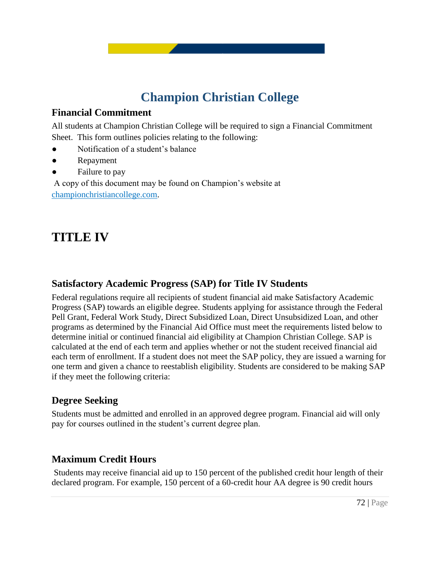

### **Financial Commitment**

All students at Champion Christian College will be required to sign a Financial Commitment Sheet. This form outlines policies relating to the following:

- Notification of a student's balance
- Repayment
- Failure to pay

A copy of this document may be found on Champion's website at championchristiancollege.com.

## **TITLE IV**

### **Satisfactory Academic Progress (SAP) for Title IV Students**

Federal regulations require all recipients of student financial aid make Satisfactory Academic Progress (SAP) towards an eligible degree. Students applying for assistance through the Federal Pell Grant, Federal Work Study, Direct Subsidized Loan, Direct Unsubsidized Loan, and other programs as determined by the Financial Aid Office must meet the requirements listed below to determine initial or continued financial aid eligibility at Champion Christian College. SAP is calculated at the end of each term and applies whether or not the student received financial aid each term of enrollment. If a student does not meet the SAP policy, they are issued a warning for one term and given a chance to reestablish eligibility. Students are considered to be making SAP if they meet the following criteria:

### **Degree Seeking**

Students must be admitted and enrolled in an approved degree program. Financial aid will only pay for courses outlined in the student's current degree plan.

### **Maximum Credit Hours**

Students may receive financial aid up to 150 percent of the published credit hour length of their declared program. For example, 150 percent of a 60-credit hour AA degree is 90 credit hours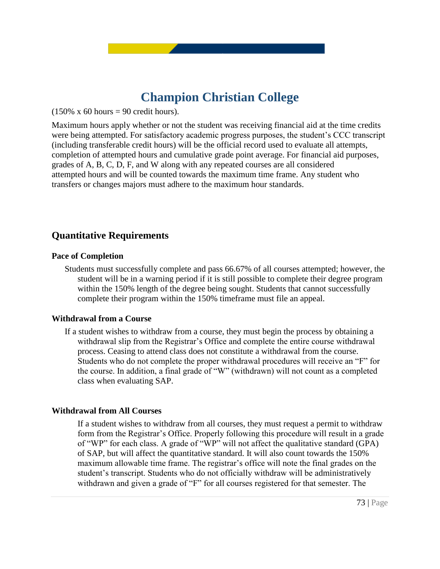$(150\% \times 60 \text{ hours} = 90 \text{ credit hours}).$ 

Maximum hours apply whether or not the student was receiving financial aid at the time credits were being attempted. For satisfactory academic progress purposes, the student's CCC transcript (including transferable credit hours) will be the official record used to evaluate all attempts, completion of attempted hours and cumulative grade point average. For financial aid purposes, grades of A, B, C, D, F, and W along with any repeated courses are all considered attempted hours and will be counted towards the maximum time frame. Any student who transfers or changes majors must adhere to the maximum hour standards.

### **Quantitative Requirements**

#### **Pace of Completion**

Students must successfully complete and pass 66.67% of all courses attempted; however, the student will be in a warning period if it is still possible to complete their degree program within the 150% length of the degree being sought. Students that cannot successfully complete their program within the 150% timeframe must file an appeal.

#### **Withdrawal from a Course**

If a student wishes to withdraw from a course, they must begin the process by obtaining a withdrawal slip from the Registrar's Office and complete the entire course withdrawal process. Ceasing to attend class does not constitute a withdrawal from the course. Students who do not complete the proper withdrawal procedures will receive an "F" for the course. In addition, a final grade of "W" (withdrawn) will not count as a completed class when evaluating SAP.

#### **Withdrawal from All Courses**

If a student wishes to withdraw from all courses, they must request a permit to withdraw form from the Registrar's Office. Properly following this procedure will result in a grade of "WP" for each class. A grade of "WP" will not affect the qualitative standard (GPA) of SAP, but will affect the quantitative standard. It will also count towards the 150% maximum allowable time frame. The registrar's office will note the final grades on the student's transcript. Students who do not officially withdraw will be administratively withdrawn and given a grade of "F" for all courses registered for that semester. The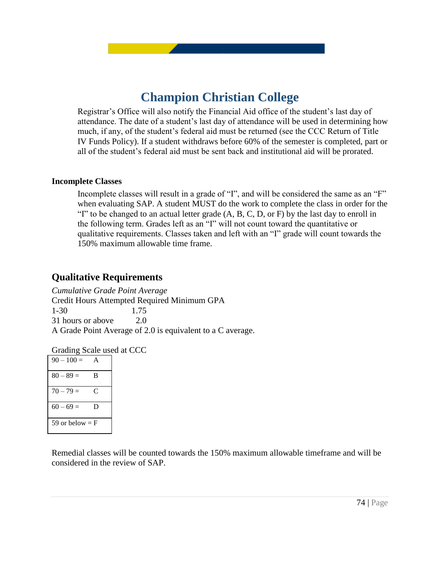Registrar's Office will also notify the Financial Aid office of the student's last day of attendance. The date of a student's last day of attendance will be used in determining how much, if any, of the student's federal aid must be returned (see the CCC Return of Title IV Funds Policy). If a student withdraws before 60% of the semester is completed, part or all of the student's federal aid must be sent back and institutional aid will be prorated.

#### **Incomplete Classes**

Incomplete classes will result in a grade of "I", and will be considered the same as an "F" when evaluating SAP. A student MUST do the work to complete the class in order for the "I" to be changed to an actual letter grade  $(A, B, C, D, or F)$  by the last day to enroll in the following term. Grades left as an "I" will not count toward the quantitative or qualitative requirements. Classes taken and left with an "I" grade will count towards the 150% maximum allowable time frame.

## **Qualitative Requirements**

*Cumulative Grade Point Average* Credit Hours Attempted Required Minimum GPA 1-30 1.75 31 hours or above 2.0 A Grade Point Average of 2.0 is equivalent to a C average.

Grading Scale used at CCC

| $90 - 100 =$      | A |
|-------------------|---|
| $80 - 89 =$       | B |
| $70 - 79 =$       | C |
| $60 - 69 =$       | D |
| 59 or below $=$ F |   |

Remedial classes will be counted towards the 150% maximum allowable timeframe and will be considered in the review of SAP.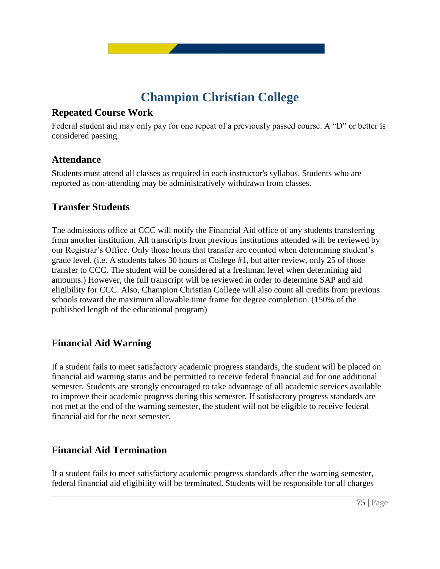### **Repeated Course Work**

Federal student aid may only pay for one repeat of a previously passed course. A "D" or better is considered passing.

### **Attendance**

Students must attend all classes as required in each instructor's syllabus. Students who are reported as non-attending may be administratively withdrawn from classes.

### **Transfer Students**

The admissions office at CCC will notify the Financial Aid office of any students transferring from another institution. All transcripts from previous institutions attended will be reviewed by our Registrar's Office. Only those hours that transfer are counted when determining student's grade level. (i.e. A students takes 30 hours at College #1, but after review, only 25 of those transfer to CCC. The student will be considered at a freshman level when determining aid amounts.) However, the full transcript will be reviewed in order to determine SAP and aid eligibility for CCC. Also, Champion Christian College will also count all credits from previous schools toward the maximum allowable time frame for degree completion. (150% of the published length of the educational program)

# **Financial Aid Warning**

If a student fails to meet satisfactory academic progress standards, the student will be placed on financial aid warning status and be permitted to receive federal financial aid for one additional semester. Students are strongly encouraged to take advantage of all academic services available to improve their academic progress during this semester. If satisfactory progress standards are not met at the end of the warning semester, the student will not be eligible to receive federal financial aid for the next semester.

# **Financial Aid Termination**

If a student fails to meet satisfactory academic progress standards after the warning semester, federal financial aid eligibility will be terminated. Students will be responsible for all charges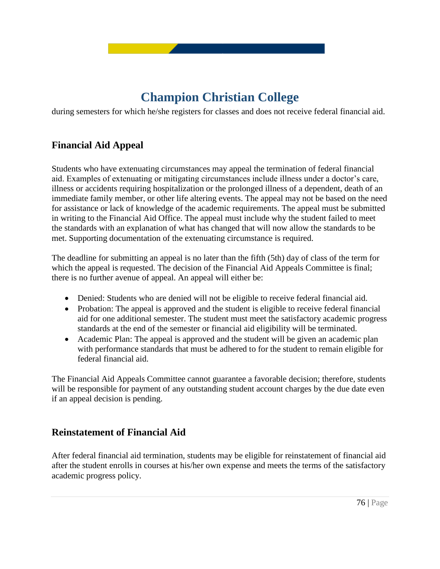during semesters for which he/she registers for classes and does not receive federal financial aid.

# **Financial Aid Appeal**

Students who have extenuating circumstances may appeal the termination of federal financial aid. Examples of extenuating or mitigating circumstances include illness under a doctor's care, illness or accidents requiring hospitalization or the prolonged illness of a dependent, death of an immediate family member, or other life altering events. The appeal may not be based on the need for assistance or lack of knowledge of the academic requirements. The appeal must be submitted in writing to the Financial Aid Office. The appeal must include why the student failed to meet the standards with an explanation of what has changed that will now allow the standards to be met. Supporting documentation of the extenuating circumstance is required.

The deadline for submitting an appeal is no later than the fifth (5th) day of class of the term for which the appeal is requested. The decision of the Financial Aid Appeals Committee is final; there is no further avenue of appeal. An appeal will either be:

- Denied: Students who are denied will not be eligible to receive federal financial aid.
- Probation: The appeal is approved and the student is eligible to receive federal financial aid for one additional semester. The student must meet the satisfactory academic progress standards at the end of the semester or financial aid eligibility will be terminated.
- Academic Plan: The appeal is approved and the student will be given an academic plan with performance standards that must be adhered to for the student to remain eligible for federal financial aid.

The Financial Aid Appeals Committee cannot guarantee a favorable decision; therefore, students will be responsible for payment of any outstanding student account charges by the due date even if an appeal decision is pending.

# **Reinstatement of Financial Aid**

After federal financial aid termination, students may be eligible for reinstatement of financial aid after the student enrolls in courses at his/her own expense and meets the terms of the satisfactory academic progress policy.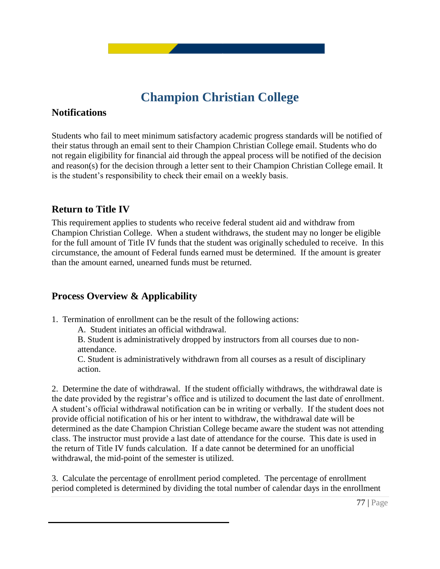### **Notifications**

Students who fail to meet minimum satisfactory academic progress standards will be notified of their status through an email sent to their Champion Christian College email. Students who do not regain eligibility for financial aid through the appeal process will be notified of the decision and reason(s) for the decision through a letter sent to their Champion Christian College email. It is the student's responsibility to check their email on a weekly basis.

### **Return to Title IV**

This requirement applies to students who receive federal student aid and withdraw from Champion Christian College. When a student withdraws, the student may no longer be eligible for the full amount of Title IV funds that the student was originally scheduled to receive. In this circumstance, the amount of Federal funds earned must be determined. If the amount is greater than the amount earned, unearned funds must be returned.

### **Process Overview & Applicability**

1. Termination of enrollment can be the result of the following actions:

A. Student initiates an official withdrawal.

B. Student is administratively dropped by instructors from all courses due to nonattendance.

C. Student is administratively withdrawn from all courses as a result of disciplinary action.

2. Determine the date of withdrawal. If the student officially withdraws, the withdrawal date is the date provided by the registrar's office and is utilized to document the last date of enrollment. A student's official withdrawal notification can be in writing or verbally. If the student does not provide official notification of his or her intent to withdraw, the withdrawal date will be determined as the date Champion Christian College became aware the student was not attending class. The instructor must provide a last date of attendance for the course. This date is used in the return of Title IV funds calculation. If a date cannot be determined for an unofficial withdrawal, the mid-point of the semester is utilized.

3. Calculate the percentage of enrollment period completed. The percentage of enrollment period completed is determined by dividing the total number of calendar days in the enrollment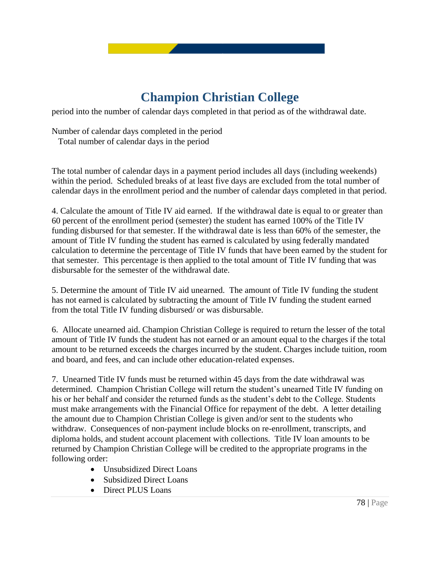

period into the number of calendar days completed in that period as of the withdrawal date.

Number of calendar days completed in the period Total number of calendar days in the period

The total number of calendar days in a payment period includes all days (including weekends) within the period. Scheduled breaks of at least five days are excluded from the total number of calendar days in the enrollment period and the number of calendar days completed in that period.

4. Calculate the amount of Title IV aid earned. If the withdrawal date is equal to or greater than 60 percent of the enrollment period (semester) the student has earned 100% of the Title IV funding disbursed for that semester. If the withdrawal date is less than 60% of the semester, the amount of Title IV funding the student has earned is calculated by using federally mandated calculation to determine the percentage of Title IV funds that have been earned by the student for that semester. This percentage is then applied to the total amount of Title IV funding that was disbursable for the semester of the withdrawal date.

5. Determine the amount of Title IV aid unearned. The amount of Title IV funding the student has not earned is calculated by subtracting the amount of Title IV funding the student earned from the total Title IV funding disbursed/ or was disbursable.

6. Allocate unearned aid. Champion Christian College is required to return the lesser of the total amount of Title IV funds the student has not earned or an amount equal to the charges if the total amount to be returned exceeds the charges incurred by the student. Charges include tuition, room and board, and fees, and can include other education-related expenses.

7. Unearned Title IV funds must be returned within 45 days from the date withdrawal was determined. Champion Christian College will return the student's unearned Title IV funding on his or her behalf and consider the returned funds as the student's debt to the College. Students must make arrangements with the Financial Office for repayment of the debt. A letter detailing the amount due to Champion Christian College is given and/or sent to the students who withdraw. Consequences of non-payment include blocks on re-enrollment, transcripts, and diploma holds, and student account placement with collections. Title IV loan amounts to be returned by Champion Christian College will be credited to the appropriate programs in the following order:

- Unsubsidized Direct Loans
- Subsidized Direct Loans
- Direct PLUS Loans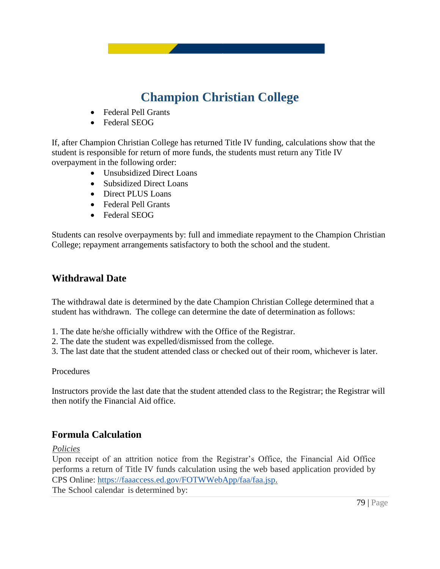- Federal Pell Grants
- Federal SEOG

If, after Champion Christian College has returned Title IV funding, calculations show that the student is responsible for return of more funds, the students must return any Title IV overpayment in the following order:

- Unsubsidized Direct Loans
- Subsidized Direct Loans
- Direct PLUS Loans
- Federal Pell Grants
- Federal SEOG

Students can resolve overpayments by: full and immediate repayment to the Champion Christian College; repayment arrangements satisfactory to both the school and the student.

### **Withdrawal Date**

The withdrawal date is determined by the date Champion Christian College determined that a student has withdrawn. The college can determine the date of determination as follows:

- 1. The date he/she officially withdrew with the Office of the Registrar.
- 2. The date the student was expelled/dismissed from the college.
- 3. The last date that the student attended class or checked out of their room, whichever is later.

#### **Procedures**

Instructors provide the last date that the student attended class to the Registrar; the Registrar will then notify the Financial Aid office.

### **Formula Calculation**

*Policies*

Upon receipt of an attrition notice from the Registrar's Office, the Financial Aid Office performs a return of Title IV funds calculation using the web based application provided by CPS Online: [https://faaaccess.ed.gov/FOTWWebApp/faa/faa.jsp.](https://faaaccess.ed.gov/FOTWWebApp/faa/faa.jsp)

The School calendar is determined by: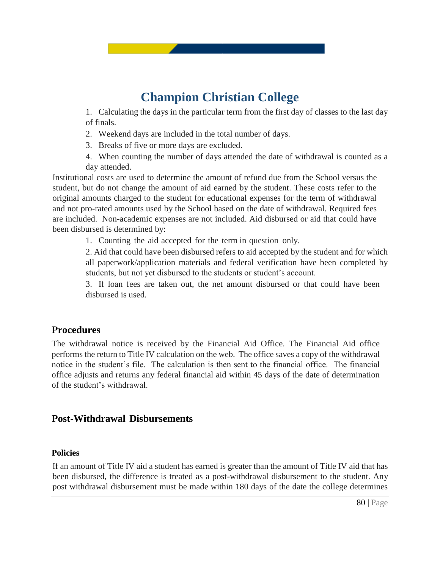1. Calculating the days in the particular term from the first day of classes to the last day of finals.

- 2. Weekend days are included in the total number of days.
- 3. Breaks of five or more days are excluded.
- 4. When counting the number of days attended the date of withdrawal is counted as a day attended.

Institutional costs are used to determine the amount of refund due from the School versus the student, but do not change the amount of aid earned by the student. These costs refer to the original amounts charged to the student for educational expenses for the term of withdrawal and not pro-rated amounts used by the School based on the date of withdrawal. Required fees are included. Non-academic expenses are not included. Aid disbursed or aid that could have been disbursed is determined by:

1. Counting the aid accepted for the term in question only.

2. Aid that could have been disbursed refers to aid accepted by the student and for which all paperwork/application materials and federal verification have been completed by students, but not yet disbursed to the students or student's account.

3. If loan fees are taken out, the net amount disbursed or that could have been disbursed is used.

### **Procedures**

The withdrawal notice is received by the Financial Aid Office. The Financial Aid office performs the return to Title IV calculation on the web. The office saves a copy of the withdrawal notice in the student's file. The calculation is then sent to the financial office. The financial office adjusts and returns any federal financial aid within 45 days of the date of determination of the student's withdrawal.

### **Post-Withdrawal Disbursements**

#### **Policies**

If an amount of Title IV aid a student has earned is greater than the amount of Title IV aid that has been disbursed, the difference is treated as a post-withdrawal disbursement to the student. Any post withdrawal disbursement must be made within 180 days of the date the college determines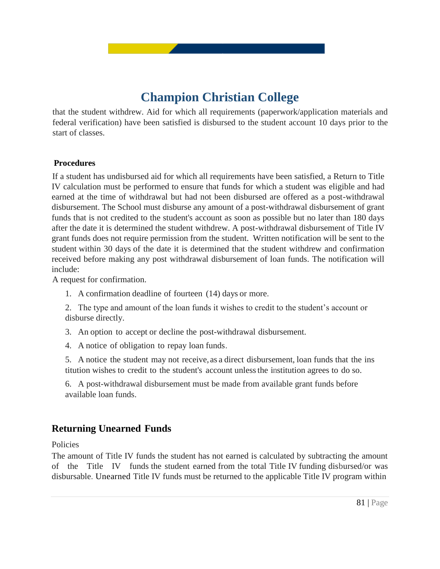that the student withdrew. Aid for which all requirements (paperwork/application materials and federal verification) have been satisfied is disbursed to the student account 10 days prior to the start of classes.

#### **Procedures**

If a student has undisbursed aid for which all requirements have been satisfied, a Return to Title IV calculation must be performed to ensure that funds for which a student was eligible and had earned at the time of withdrawal but had not been disbursed are offered as a post-withdrawal disbursement. The School must disburse any amount of a post-withdrawal disbursement of grant funds that is not credited to the student's account as soon as possible but no later than 180 days after the date it is determined the student withdrew. A post-withdrawal disbursement of Title IV grant funds does not require permission from the student. Written notification will be sent to the student within 30 days of the date it is determined that the student withdrew and confirmation received before making any post withdrawal disbursement of loan funds. The notification will include:

A request for confirmation.

- 1. A confirmation deadline of fourteen (14) days or more.
- 2. The type and amount of the loan funds it wishes to credit to the student's account or disburse directly.
- 3. An option to accept or decline the post-withdrawal disbursement.
- 4. A notice of obligation to repay loan funds.

5. A notice the student may not receive, as a direct disbursement, loan funds that the ins titution wishes to credit to the student's account unlessthe institution agrees to do so.

6. A post-withdrawal disbursement must be made from available grant funds before available loan funds.

# **Returning Unearned Funds**

Policies

The amount of Title IV funds the student has not earned is calculated by subtracting the amount of the Title IV funds the student earned from the total Title IV funding disbursed/or was disbursable. Unearned Title IV funds must be returned to the applicable Title IV program within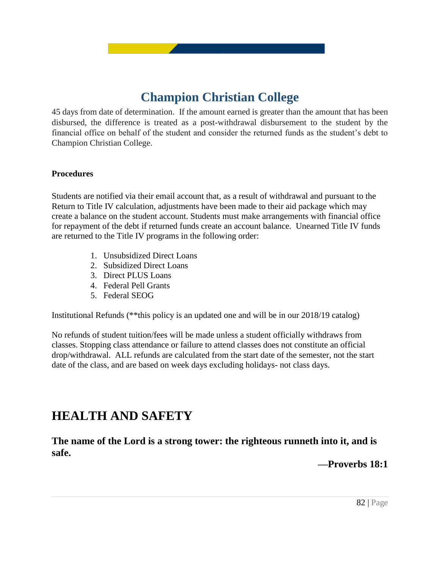45 days from date of determination. If the amount earned is greater than the amount that has been disbursed, the difference is treated as a post-withdrawal disbursement to the student by the financial office on behalf of the student and consider the returned funds as the student's debt to Champion Christian College.

#### **Procedures**

Students are notified via their email account that, as a result of withdrawal and pursuant to the Return to Title IV calculation, adjustments have been made to their aid package which may create a balance on the student account. Students must make arrangements with financial office for repayment of the debt if returned funds create an account balance. Unearned Title IV funds are returned to the Title IV programs in the following order:

- 1. Unsubsidized Direct Loans
- 2. Subsidized Direct Loans
- 3. Direct PLUS Loans
- 4. Federal Pell Grants
- 5. Federal SEOG

Institutional Refunds (\*\*this policy is an updated one and will be in our 2018/19 catalog)

No refunds of student tuition/fees will be made unless a student officially withdraws from classes. Stopping class attendance or failure to attend classes does not constitute an official drop/withdrawal. ALL refunds are calculated from the start date of the semester, not the start date of the class, and are based on week days excluding holidays- not class days.

# **HEALTH AND SAFETY**

**The name of the Lord is a strong tower: the righteous runneth into it, and is safe.**

**—Proverbs 18:1**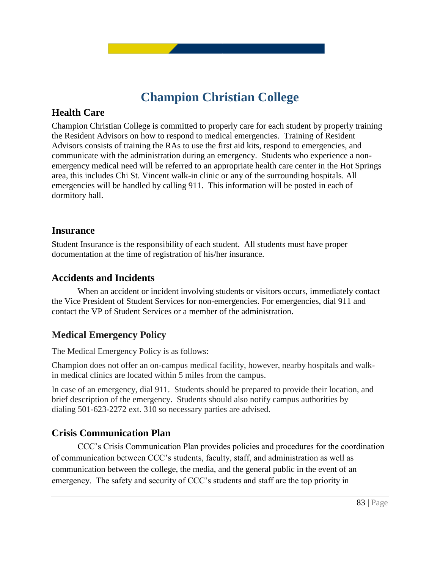## **Health Care**

Champion Christian College is committed to properly care for each student by properly training the Resident Advisors on how to respond to medical emergencies. Training of Resident Advisors consists of training the RAs to use the first aid kits, respond to emergencies, and communicate with the administration during an emergency. Students who experience a nonemergency medical need will be referred to an appropriate health care center in the Hot Springs area, this includes Chi St. Vincent walk-in clinic or any of the surrounding hospitals. All emergencies will be handled by calling 911. This information will be posted in each of dormitory hall.

### **Insurance**

Student Insurance is the responsibility of each student. All students must have proper documentation at the time of registration of his/her insurance.

### **Accidents and Incidents**

When an accident or incident involving students or visitors occurs, immediately contact the Vice President of Student Services for non-emergencies. For emergencies, dial 911 and contact the VP of Student Services or a member of the administration.

# **Medical Emergency Policy**

The Medical Emergency Policy is as follows:

Champion does not offer an on-campus medical facility, however, nearby hospitals and walkin medical clinics are located within 5 miles from the campus.

In case of an emergency, dial 911. Students should be prepared to provide their location, and brief description of the emergency. Students should also notify campus authorities by dialing 501-623-2272 ext. 310 so necessary parties are advised.

# **Crisis Communication Plan**

CCC's Crisis Communication Plan provides policies and procedures for the coordination of communication between CCC's students, faculty, staff, and administration as well as communication between the college, the media, and the general public in the event of an emergency. The safety and security of CCC's students and staff are the top priority in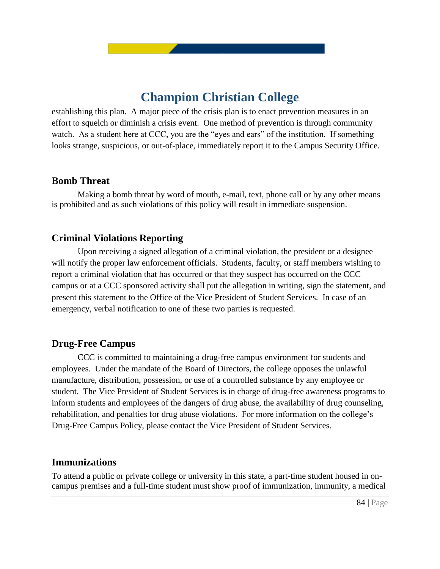establishing this plan. A major piece of the crisis plan is to enact prevention measures in an effort to squelch or diminish a crisis event. One method of prevention is through community watch. As a student here at CCC, you are the "eyes and ears" of the institution. If something looks strange, suspicious, or out-of-place, immediately report it to the Campus Security Office.

### **Bomb Threat**

 Making a bomb threat by word of mouth, e-mail, text, phone call or by any other means is prohibited and as such violations of this policy will result in immediate suspension.

### **Criminal Violations Reporting**

Upon receiving a signed allegation of a criminal violation, the president or a designee will notify the proper law enforcement officials. Students, faculty, or staff members wishing to report a criminal violation that has occurred or that they suspect has occurred on the CCC campus or at a CCC sponsored activity shall put the allegation in writing, sign the statement, and present this statement to the Office of the Vice President of Student Services. In case of an emergency, verbal notification to one of these two parties is requested.

#### **Drug-Free Campus**

CCC is committed to maintaining a drug-free campus environment for students and employees. Under the mandate of the Board of Directors, the college opposes the unlawful manufacture, distribution, possession, or use of a controlled substance by any employee or student. The Vice President of Student Services is in charge of drug-free awareness programs to inform students and employees of the dangers of drug abuse, the availability of drug counseling, rehabilitation, and penalties for drug abuse violations. For more information on the college's Drug-Free Campus Policy, please contact the Vice President of Student Services.

#### **Immunizations**

To attend a public or private college or university in this state, a part-time student housed in oncampus premises and a full-time student must show proof of immunization, immunity, a medical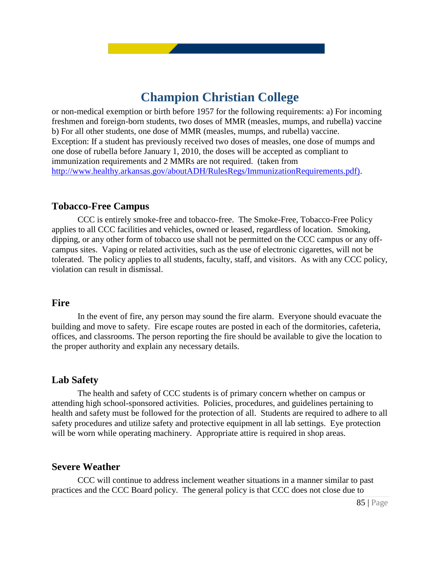or non-medical exemption or birth before 1957 for the following requirements: a) For incoming freshmen and foreign-born students, two doses of MMR (measles, mumps, and rubella) vaccine b) For all other students, one dose of MMR (measles, mumps, and rubella) vaccine. Exception: If a student has previously received two doses of measles, one dose of mumps and one dose of rubella before January 1, 2010, the doses will be accepted as compliant to immunization requirements and 2 MMRs are not required. (taken from [http://www.healthy.arkansas.gov/aboutADH/RulesRegs/ImmunizationRequirements.pdf\).](http://www.healthy.arkansas.gov/aboutADH/RulesRegs/ImmunizationRequirements.pdf))

#### **Tobacco-Free Campus**

CCC is entirely smoke-free and tobacco-free. The Smoke-Free, Tobacco-Free Policy applies to all CCC facilities and vehicles, owned or leased, regardless of location. Smoking, dipping, or any other form of tobacco use shall not be permitted on the CCC campus or any offcampus sites. Vaping or related activities, such as the use of electronic cigarettes, will not be tolerated. The policy applies to all students, faculty, staff, and visitors. As with any CCC policy, violation can result in dismissal.

#### **Fire**

In the event of fire, any person may sound the fire alarm. Everyone should evacuate the building and move to safety. Fire escape routes are posted in each of the dormitories, cafeteria, offices, and classrooms. The person reporting the fire should be available to give the location to the proper authority and explain any necessary details.

#### **Lab Safety**

The health and safety of CCC students is of primary concern whether on campus or attending high school-sponsored activities. Policies, procedures, and guidelines pertaining to health and safety must be followed for the protection of all. Students are required to adhere to all safety procedures and utilize safety and protective equipment in all lab settings. Eye protection will be worn while operating machinery. Appropriate attire is required in shop areas.

#### **Severe Weather**

CCC will continue to address inclement weather situations in a manner similar to past practices and the CCC Board policy. The general policy is that CCC does not close due to

85 | Page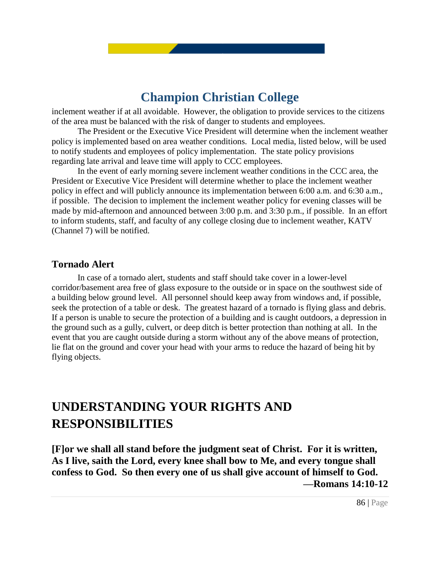inclement weather if at all avoidable. However, the obligation to provide services to the citizens of the area must be balanced with the risk of danger to students and employees.

The President or the Executive Vice President will determine when the inclement weather policy is implemented based on area weather conditions. Local media, listed below, will be used to notify students and employees of policy implementation. The state policy provisions regarding late arrival and leave time will apply to CCC employees.

In the event of early morning severe inclement weather conditions in the CCC area, the President or Executive Vice President will determine whether to place the inclement weather policy in effect and will publicly announce its implementation between 6:00 a.m. and 6:30 a.m., if possible. The decision to implement the inclement weather policy for evening classes will be made by mid-afternoon and announced between 3:00 p.m. and 3:30 p.m., if possible. In an effort to inform students, staff, and faculty of any college closing due to inclement weather, KATV (Channel 7) will be notified.

#### **Tornado Alert**

In case of a tornado alert, students and staff should take cover in a lower-level corridor/basement area free of glass exposure to the outside or in space on the southwest side of a building below ground level. All personnel should keep away from windows and, if possible, seek the protection of a table or desk. The greatest hazard of a tornado is flying glass and debris. If a person is unable to secure the protection of a building and is caught outdoors, a depression in the ground such as a gully, culvert, or deep ditch is better protection than nothing at all. In the event that you are caught outside during a storm without any of the above means of protection, lie flat on the ground and cover your head with your arms to reduce the hazard of being hit by flying objects.

# **UNDERSTANDING YOUR RIGHTS AND RESPONSIBILITIES**

**[F]or we shall all stand before the judgment seat of Christ. For it is written, As I live, saith the Lord, every knee shall bow to Me, and every tongue shall confess to God. So then every one of us shall give account of himself to God. —Romans 14:10-12**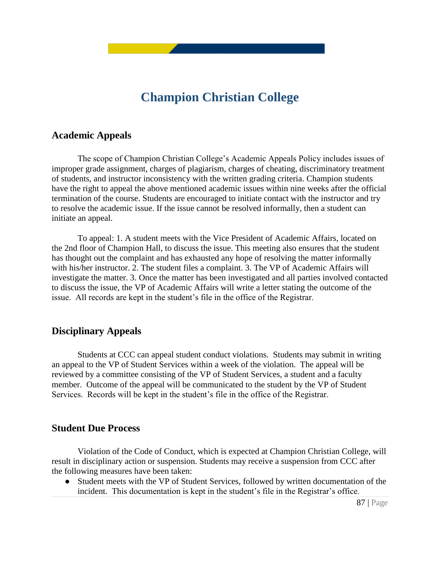#### **Academic Appeals**

The scope of Champion Christian College's Academic Appeals Policy includes issues of improper grade assignment, charges of plagiarism, charges of cheating, discriminatory treatment of students, and instructor inconsistency with the written grading criteria. Champion students have the right to appeal the above mentioned academic issues within nine weeks after the official termination of the course. Students are encouraged to initiate contact with the instructor and try to resolve the academic issue. If the issue cannot be resolved informally, then a student can initiate an appeal.

To appeal: 1. A student meets with the Vice President of Academic Affairs, located on the 2nd floor of Champion Hall, to discuss the issue. This meeting also ensures that the student has thought out the complaint and has exhausted any hope of resolving the matter informally with his/her instructor. 2. The student files a complaint. 3. The VP of Academic Affairs will investigate the matter. 3. Once the matter has been investigated and all parties involved contacted to discuss the issue, the VP of Academic Affairs will write a letter stating the outcome of the issue. All records are kept in the student's file in the office of the Registrar.

#### **Disciplinary Appeals**

Students at CCC can appeal student conduct violations. Students may submit in writing an appeal to the VP of Student Services within a week of the violation. The appeal will be reviewed by a committee consisting of the VP of Student Services, a student and a faculty member. Outcome of the appeal will be communicated to the student by the VP of Student Services. Records will be kept in the student's file in the office of the Registrar.

#### **Student Due Process**

Violation of the Code of Conduct, which is expected at Champion Christian College, will result in disciplinary action or suspension. Students may receive a suspension from CCC after the following measures have been taken:

• Student meets with the VP of Student Services, followed by written documentation of the incident. This documentation is kept in the student's file in the Registrar's office.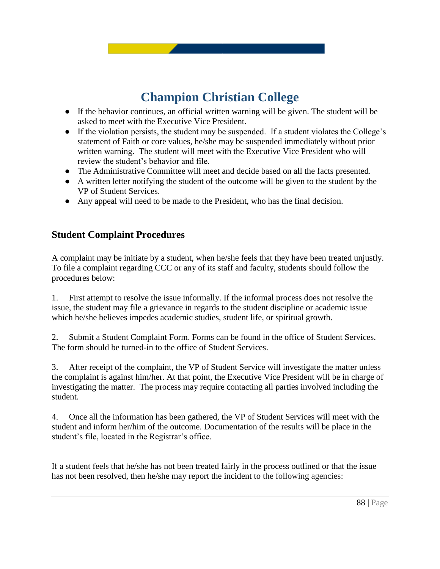- If the behavior continues, an official written warning will be given. The student will be asked to meet with the Executive Vice President.
- If the violation persists, the student may be suspended. If a student violates the College's statement of Faith or core values, he/she may be suspended immediately without prior written warning. The student will meet with the Executive Vice President who will review the student's behavior and file.
- The Administrative Committee will meet and decide based on all the facts presented.
- A written letter notifying the student of the outcome will be given to the student by the VP of Student Services.
- Any appeal will need to be made to the President, who has the final decision.

# **Student Complaint Procedures**

A complaint may be initiate by a student, when he/she feels that they have been treated unjustly. To file a complaint regarding CCC or any of its staff and faculty, students should follow the procedures below:

1. First attempt to resolve the issue informally. If the informal process does not resolve the issue, the student may file a grievance in regards to the student discipline or academic issue which he/she believes impedes academic studies, student life, or spiritual growth.

2. Submit a Student Complaint Form. Forms can be found in the office of Student Services. The form should be turned-in to the office of Student Services.

3. After receipt of the complaint, the VP of Student Service will investigate the matter unless the complaint is against him/her. At that point, the Executive Vice President will be in charge of investigating the matter. The process may require contacting all parties involved including the student.

4. Once all the information has been gathered, the VP of Student Services will meet with the student and inform her/him of the outcome. Documentation of the results will be place in the student's file, located in the Registrar's office.

If a student feels that he/she has not been treated fairly in the process outlined or that the issue has not been resolved, then he/she may report the incident to the following agencies: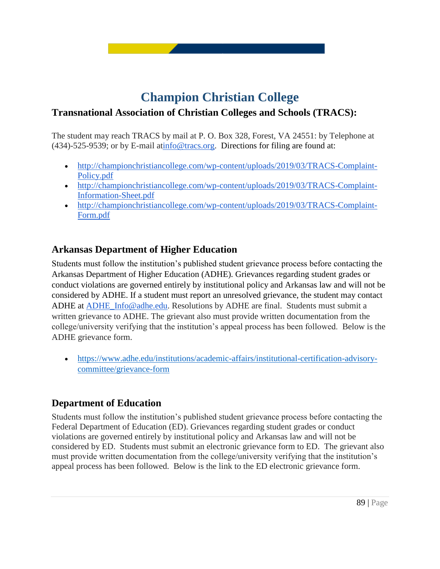### **Transnational Association of Christian Colleges and Schools (TRACS):**

The student may reach TRACS by mail at P. O. Box 328, Forest, VA 24551: by Telephone at (434)-525-9539; or by E-mail a[tinfo@tracs.org.](mailto:info@tracs.org) Directions for filing are found at:

- [http://championchristiancollege.com/wp-content/uploads/2019/03/TRACS-Complaint-](http://championchristiancollege.com/wp-content/uploads/2019/03/TRACS-Complaint-Policy.pdf)[Policy.pdf](http://championchristiancollege.com/wp-content/uploads/2019/03/TRACS-Complaint-Policy.pdf)
- [http://championchristiancollege.com/wp-content/uploads/2019/03/TRACS-Complaint-](http://championchristiancollege.com/wp-content/uploads/2019/03/TRACS-Complaint-Information-Sheet.pdf)[Information-Sheet.pdf](http://championchristiancollege.com/wp-content/uploads/2019/03/TRACS-Complaint-Information-Sheet.pdf)
- [http://championchristiancollege.com/wp-content/uploads/2019/03/TRACS-Complaint-](http://championchristiancollege.com/wp-content/uploads/2019/03/TRACS-Complaint-Form.pdf)[Form.pdf](http://championchristiancollege.com/wp-content/uploads/2019/03/TRACS-Complaint-Form.pdf)

### **Arkansas Department of Higher Education**

Students must follow the institution's published student grievance process before contacting the Arkansas Department of Higher Education (ADHE). Grievances regarding student grades or conduct violations are governed entirely by institutional policy and Arkansas law and will not be considered by ADHE. If a student must report an unresolved grievance, the student may contact ADHE at [ADHE\\_Info@adhe.edu.](mailto:ADHE_Info@adhe.edu) Resolutions by ADHE are final. Students must submit a written grievance to ADHE. The grievant also must provide written documentation from the college/university verifying that the institution's appeal process has been followed. Below is the ADHE grievance form.

• [https://www.adhe.edu/institutions/academic-affairs/institutional-certification-advisory](https://www.adhe.edu/institutions/academic-affairs/institutional-certification-advisory-committee/grievance-form)[committee/grievance-form](https://www.adhe.edu/institutions/academic-affairs/institutional-certification-advisory-committee/grievance-form)

# **Department of Education**

Students must follow the institution's published student grievance process before contacting the Federal Department of Education (ED). Grievances regarding student grades or conduct violations are governed entirely by institutional policy and Arkansas law and will not be considered by ED. Students must submit an electronic grievance form to ED. The grievant also must provide written documentation from the college/university verifying that the institution's appeal process has been followed. Below is the link to the ED electronic grievance form.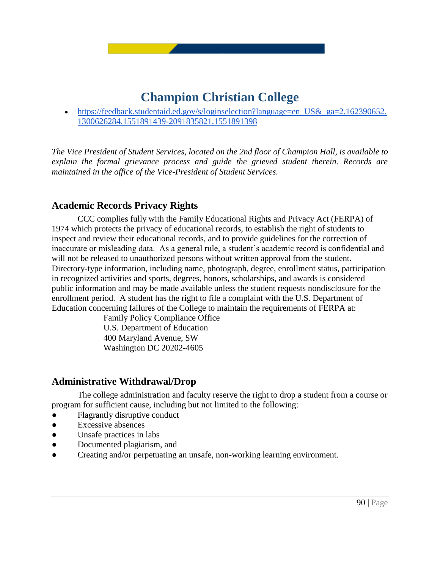• https://feedback.studentaid.ed.gov/s/loginselection?language=en\_US $\&$ ga=2.162390652. [1300626284.1551891439-2091835821.1551891398](https://feedback.studentaid.ed.gov/s/loginselection?language=en_US&_ga=2.162390652.1300626284.1551891439-2091835821.1551891398)

*The Vice President of Student Services, located on the 2nd floor of Champion Hall, is available to explain the formal grievance process and guide the grieved student therein. Records are maintained in the office of the Vice-President of Student Services.*

### **Academic Records Privacy Rights**

CCC complies fully with the Family Educational Rights and Privacy Act (FERPA) of 1974 which protects the privacy of educational records, to establish the right of students to inspect and review their educational records, and to provide guidelines for the correction of inaccurate or misleading data. As a general rule, a student's academic record is confidential and will not be released to unauthorized persons without written approval from the student. Directory-type information, including name, photograph, degree, enrollment status, participation in recognized activities and sports, degrees, honors, scholarships, and awards is considered public information and may be made available unless the student requests nondisclosure for the enrollment period. A student has the right to file a complaint with the U.S. Department of Education concerning failures of the College to maintain the requirements of FERPA at:

Family Policy Compliance Office U.S. Department of Education 400 Maryland Avenue, SW Washington DC 20202-4605

#### **Administrative Withdrawal/Drop**

The college administration and faculty reserve the right to drop a student from a course or program for sufficient cause, including but not limited to the following:

- Flagrantly disruptive conduct
- Excessive absences
- Unsafe practices in labs
- Documented plagiarism, and
- Creating and/or perpetuating an unsafe, non-working learning environment.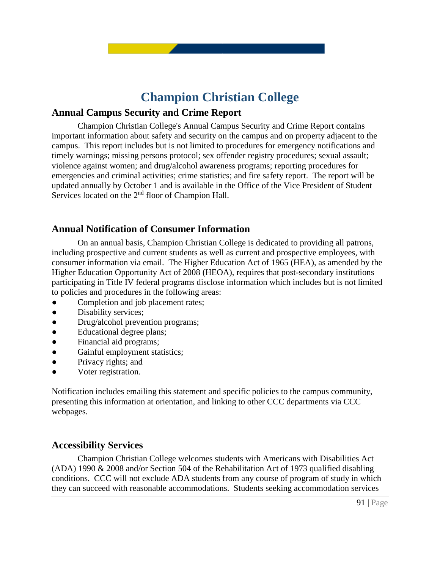#### **Annual Campus Security and Crime Report**

 Champion Christian College's Annual Campus Security and Crime Report contains important information about safety and security on the campus and on property adjacent to the campus. This report includes but is not limited to procedures for emergency notifications and timely warnings; missing persons protocol; sex offender registry procedures; sexual assault; violence against women; and drug/alcohol awareness programs; reporting procedures for emergencies and criminal activities; crime statistics; and fire safety report. The report will be updated annually by October 1 and is available in the Office of the Vice President of Student Services located on the 2<sup>nd</sup> floor of Champion Hall.

### **Annual Notification of Consumer Information**

On an annual basis, Champion Christian College is dedicated to providing all patrons, including prospective and current students as well as current and prospective employees, with consumer information via email. The Higher Education Act of 1965 (HEA), as amended by the Higher Education Opportunity Act of 2008 (HEOA), requires that post-secondary institutions participating in Title IV federal programs disclose information which includes but is not limited to policies and procedures in the following areas:

- Completion and job placement rates;
- Disability services;
- Drug/alcohol prevention programs;
- Educational degree plans;
- Financial aid programs;
- Gainful employment statistics;
- Privacy rights; and
- Voter registration.

Notification includes emailing this statement and specific policies to the campus community, presenting this information at orientation, and linking to other CCC departments via CCC webpages.

#### **Accessibility Services**

 Champion Christian College welcomes students with Americans with Disabilities Act (ADA) 1990 & 2008 and/or Section 504 of the Rehabilitation Act of 1973 qualified disabling conditions. CCC will not exclude ADA students from any course of program of study in which they can succeed with reasonable accommodations. Students seeking accommodation services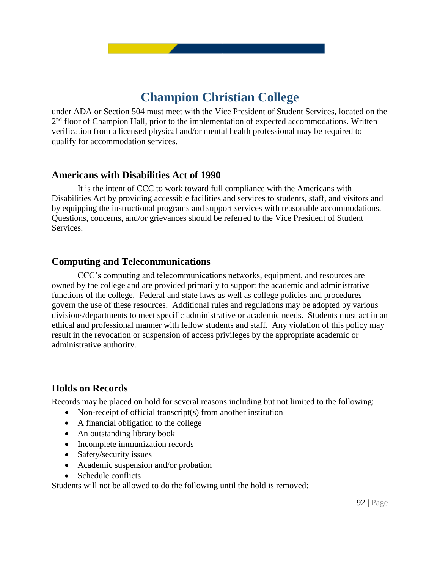under ADA or Section 504 must meet with the Vice President of Student Services, located on the 2<sup>nd</sup> floor of Champion Hall, prior to the implementation of expected accommodations. Written verification from a licensed physical and/or mental health professional may be required to qualify for accommodation services.

### **Americans with Disabilities Act of 1990**

It is the intent of CCC to work toward full compliance with the Americans with Disabilities Act by providing accessible facilities and services to students, staff, and visitors and by equipping the instructional programs and support services with reasonable accommodations. Questions, concerns, and/or grievances should be referred to the Vice President of Student Services.

### **Computing and Telecommunications**

CCC's computing and telecommunications networks, equipment, and resources are owned by the college and are provided primarily to support the academic and administrative functions of the college. Federal and state laws as well as college policies and procedures govern the use of these resources. Additional rules and regulations may be adopted by various divisions/departments to meet specific administrative or academic needs. Students must act in an ethical and professional manner with fellow students and staff. Any violation of this policy may result in the revocation or suspension of access privileges by the appropriate academic or administrative authority.

# **Holds on Records**

Records may be placed on hold for several reasons including but not limited to the following:

- Non-receipt of official transcript(s) from another institution
- A financial obligation to the college
- An outstanding library book
- Incomplete immunization records
- Safety/security issues
- Academic suspension and/or probation
- Schedule conflicts

Students will not be allowed to do the following until the hold is removed: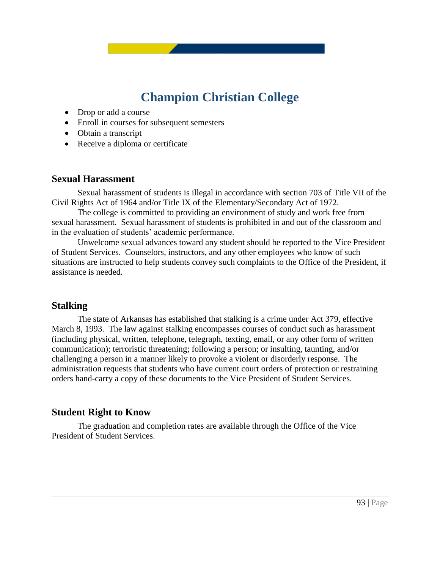- Drop or add a course
- Enroll in courses for subsequent semesters
- Obtain a transcript
- Receive a diploma or certificate

#### **Sexual Harassment**

Sexual harassment of students is illegal in accordance with section 703 of Title VII of the Civil Rights Act of 1964 and/or Title IX of the Elementary/Secondary Act of 1972.

The college is committed to providing an environment of study and work free from sexual harassment. Sexual harassment of students is prohibited in and out of the classroom and in the evaluation of students' academic performance.

Unwelcome sexual advances toward any student should be reported to the Vice President of Student Services. Counselors, instructors, and any other employees who know of such situations are instructed to help students convey such complaints to the Office of the President, if assistance is needed.

#### **Stalking**

The state of Arkansas has established that stalking is a crime under Act 379, effective March 8, 1993. The law against stalking encompasses courses of conduct such as harassment (including physical, written, telephone, telegraph, texting, email, or any other form of written communication); terroristic threatening; following a person; or insulting, taunting, and/or challenging a person in a manner likely to provoke a violent or disorderly response. The administration requests that students who have current court orders of protection or restraining orders hand-carry a copy of these documents to the Vice President of Student Services.

### **Student Right to Know**

The graduation and completion rates are available through the Office of the Vice President of Student Services.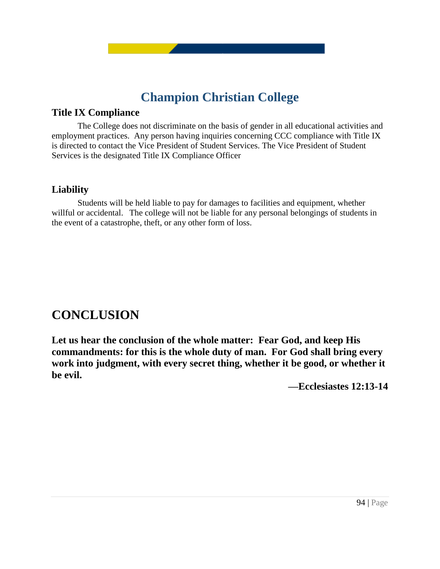

### **Title IX Compliance**

The College does not discriminate on the basis of gender in all educational activities and employment practices. Any person having inquiries concerning CCC compliance with Title IX is directed to contact the Vice President of Student Services. The Vice President of Student Services is the designated Title IX Compliance Officer

### **Liability**

Students will be held liable to pay for damages to facilities and equipment, whether willful or accidental. The college will not be liable for any personal belongings of students in the event of a catastrophe, theft, or any other form of loss.

# **CONCLUSION**

**Let us hear the conclusion of the whole matter: Fear God, and keep His commandments: for this is the whole duty of man. For God shall bring every work into judgment, with every secret thing, whether it be good, or whether it be evil.**

**—Ecclesiastes 12:13-14**